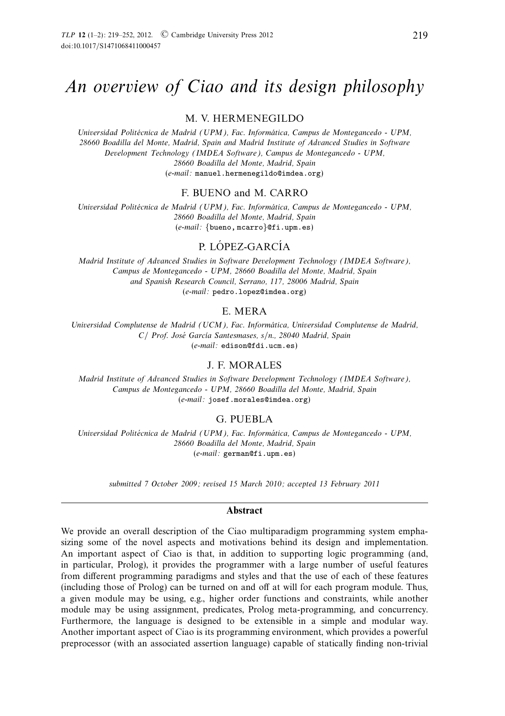# An overview of Ciao and its design philosophy

## M. V. HERMENEGILDO

Universidad Politécnica de Madrid (UPM), Fac. Informática, Campus de Montegancedo - UPM, 28660 Boadilla del Monte, Madrid, Spain and Madrid Institute of Advanced Studies in Software Development Technology (IMDEA Software), Campus de Montegancedo - UPM, 28660 Boadilla del Monte, Madrid, Spain (e-mail: manuel.hermenegildo@imdea.org)

#### F. BUENO and M. CARRO

Universidad Politécnica de Madrid (UPM), Fac. Informática, Campus de Montegancedo - UPM, 28660 Boadilla del Monte, Madrid, Spain (e-mail: {bueno, mcarro}@fi.upm.es)

## P. LÓPEZ-GARCÍA

Madrid Institute of Advanced Studies in Software Development Technology (IMDEA Software), Campus de Montegancedo - UPM, 28660 Boadilla del Monte, Madrid, Spain and Spanish Research Council, Serrano, 117, 28006 Madrid, Spain (e-mail: pedro.lopez@imdea.org)

#### E. MERA

Universidad Complutense de Madrid (UCM), Fac. Informatica, Universidad Complutense de Madrid, ´  $C/$  Prof. José García Santesmases, s/n., 28040 Madrid, Spain (e-mail: edison@fdi.ucm.es)

#### J. F. MORALES

Madrid Institute of Advanced Studies in Software Development Technology (IMDEA Software), Campus de Montegancedo - UPM, 28660 Boadilla del Monte, Madrid, Spain (e-mail: josef.morales@imdea.org)

#### G. PUEBLA

Universidad Politécnica de Madrid (UPM), Fac. Informática, Campus de Montegancedo - UPM, 28660 Boadilla del Monte, Madrid, Spain (e-mail: german@fi.upm.es)

submitted 7 October 2009; revised 15 March 2010; accepted 13 February 2011

#### **Abstract**

We provide an overall description of the Ciao multiparadigm programming system emphasizing some of the novel aspects and motivations behind its design and implementation. An important aspect of Ciao is that, in addition to supporting logic programming (and, in particular, Prolog), it provides the programmer with a large number of useful features from different programming paradigms and styles and that the use of each of these features (including those of Prolog) can be turned on and off at will for each program module. Thus, a given module may be using, e.g., higher order functions and constraints, while another module may be using assignment, predicates, Prolog meta-programming, and concurrency. Furthermore, the language is designed to be extensible in a simple and modular way. Another important aspect of Ciao is its programming environment, which provides a powerful preprocessor (with an associated assertion language) capable of statically finding non-trivial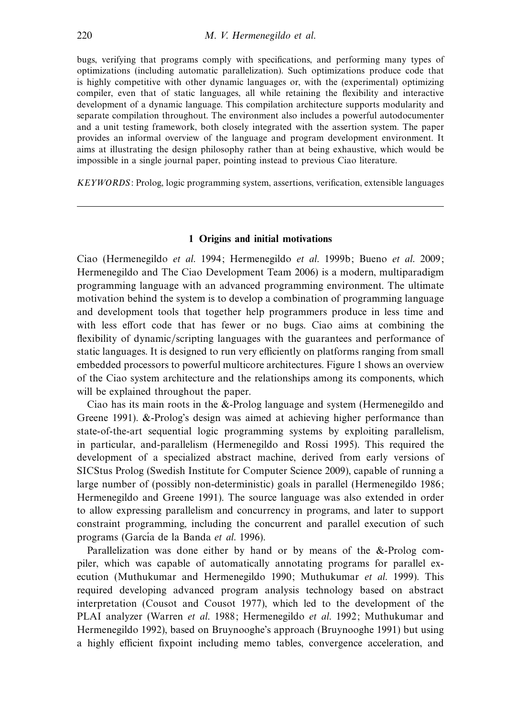bugs, verifying that programs comply with specifications, and performing many types of optimizations (including automatic parallelization). Such optimizations produce code that is highly competitive with other dynamic languages or, with the (experimental) optimizing compiler, even that of static languages, all while retaining the flexibility and interactive development of a dynamic language. This compilation architecture supports modularity and separate compilation throughout. The environment also includes a powerful autodocumenter and a unit testing framework, both closely integrated with the assertion system. The paper provides an informal overview of the language and program development environment. It aims at illustrating the design philosophy rather than at being exhaustive, which would be impossible in a single journal paper, pointing instead to previous Ciao literature.

KEYWORDS: Prolog, logic programming system, assertions, verification, extensible languages

## **1 Origins and initial motivations**

Ciao (Hermenegildo et al. 1994; Hermenegildo et al. 1999b; Bueno et al. 2009; Hermenegildo and The Ciao Development Team 2006) is a modern, multiparadigm programming language with an advanced programming environment. The ultimate motivation behind the system is to develop a combination of programming language and development tools that together help programmers produce in less time and with less effort code that has fewer or no bugs. Ciao aims at combining the flexibility of dynamic/scripting languages with the guarantees and performance of static languages. It is designed to run very efficiently on platforms ranging from small embedded processors to powerful multicore architectures. Figure 1 shows an overview of the Ciao system architecture and the relationships among its components, which will be explained throughout the paper.

Ciao has its main roots in the &-Prolog language and system (Hermenegildo and Greene 1991). &-Prolog's design was aimed at achieving higher performance than state-of-the-art sequential logic programming systems by exploiting parallelism, in particular, and-parallelism (Hermenegildo and Rossi 1995). This required the development of a specialized abstract machine, derived from early versions of SICStus Prolog (Swedish Institute for Computer Science 2009), capable of running a large number of (possibly non-deterministic) goals in parallel (Hermenegildo 1986; Hermenegildo and Greene 1991). The source language was also extended in order to allow expressing parallelism and concurrency in programs, and later to support constraint programming, including the concurrent and parallel execution of such programs (García de la Banda et al. 1996).

Parallelization was done either by hand or by means of the &-Prolog compiler, which was capable of automatically annotating programs for parallel execution (Muthukumar and Hermenegildo 1990; Muthukumar et al. 1999). This required developing advanced program analysis technology based on abstract interpretation (Cousot and Cousot 1977), which led to the development of the PLAI analyzer (Warren et al. 1988; Hermenegildo et al. 1992; Muthukumar and Hermenegildo 1992), based on Bruynooghe's approach (Bruynooghe 1991) but using a highly efficient fixpoint including memo tables, convergence acceleration, and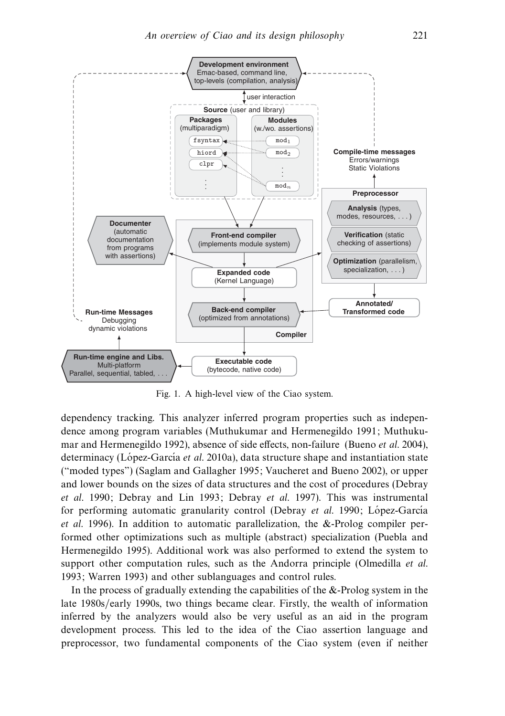

Fig. 1. A high-level view of the Ciao system.

dependency tracking. This analyzer inferred program properties such as independence among program variables (Muthukumar and Hermenegildo 1991; Muthukumar and Hermenegildo 1992), absence of side effects, non-failure (Bueno et al. 2004), determinacy (López-García et al. 2010a), data structure shape and instantiation state ("moded types") (Saglam and Gallagher 1995; Vaucheret and Bueno 2002), or upper and lower bounds on the sizes of data structures and the cost of procedures (Debray et al. 1990; Debray and Lin 1993; Debray et al. 1997). This was instrumental for performing automatic granularity control (Debray et al. 1990; López-García et al. 1996). In addition to automatic parallelization, the  $&$ -Prolog compiler performed other optimizations such as multiple (abstract) specialization (Puebla and Hermenegildo 1995). Additional work was also performed to extend the system to support other computation rules, such as the Andorra principle (Olmedilla *et al.*) 1993; Warren 1993) and other sublanguages and control rules.

In the process of gradually extending the capabilities of the  $&$ -Prolog system in the late 1980s/early 1990s, two things became clear. Firstly, the wealth of information inferred by the analyzers would also be very useful as an aid in the program development process. This led to the idea of the Ciao assertion language and preprocessor, two fundamental components of the Ciao system (even if neither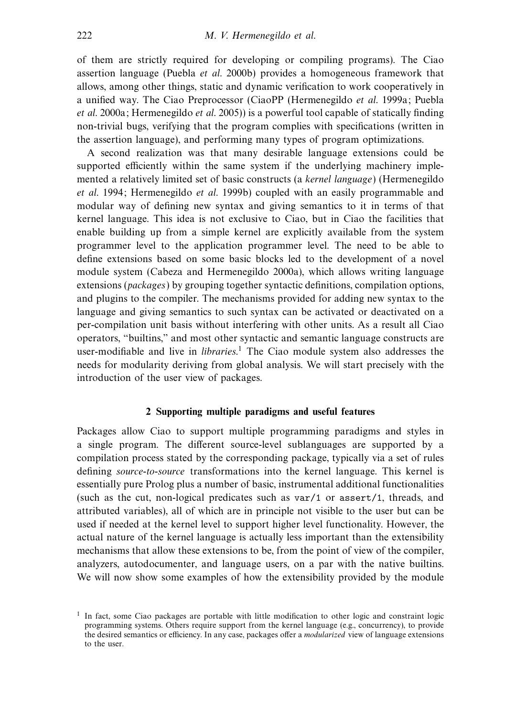of them are strictly required for developing or compiling programs). The Ciao assertion language (Puebla et al. 2000b) provides a homogeneous framework that allows, among other things, static and dynamic verification to work cooperatively in a unified way. The Ciao Preprocessor (CiaoPP (Hermenegildo et al. 1999a; Puebla et al. 2000a; Hermenegildo et al. 2005)) is a powerful tool capable of statically finding non-trivial bugs, verifying that the program complies with specifications (written in the assertion language), and performing many types of program optimizations.

A second realization was that many desirable language extensions could be supported efficiently within the same system if the underlying machinery implemented a relatively limited set of basic constructs (a kernel language) (Hermenegildo et al. 1994; Hermenegildo et al. 1999b) coupled with an easily programmable and modular way of defining new syntax and giving semantics to it in terms of that kernel language. This idea is not exclusive to Ciao, but in Ciao the facilities that enable building up from a simple kernel are explicitly available from the system programmer level to the application programmer level. The need to be able to define extensions based on some basic blocks led to the development of a novel module system (Cabeza and Hermenegildo 2000a), which allows writing language extensions (packages) by grouping together syntactic definitions, compilation options, and plugins to the compiler. The mechanisms provided for adding new syntax to the language and giving semantics to such syntax can be activated or deactivated on a per-compilation unit basis without interfering with other units. As a result all Ciao operators, "builtins," and most other syntactic and semantic language constructs are user-modifiable and live in *libraries*.<sup>1</sup> The Ciao module system also addresses the needs for modularity deriving from global analysis. We will start precisely with the introduction of the user view of packages.

## **2 Supporting multiple paradigms and useful features**

Packages allow Ciao to support multiple programming paradigms and styles in a single program. The different source-level sublanguages are supported by a compilation process stated by the corresponding package, typically via a set of rules defining source-to-source transformations into the kernel language. This kernel is essentially pure Prolog plus a number of basic, instrumental additional functionalities (such as the cut, non-logical predicates such as  $var/1$  or assert/1, threads, and attributed variables), all of which are in principle not visible to the user but can be used if needed at the kernel level to support higher level functionality. However, the actual nature of the kernel language is actually less important than the extensibility mechanisms that allow these extensions to be, from the point of view of the compiler, analyzers, autodocumenter, and language users, on a par with the native builtins. We will now show some examples of how the extensibility provided by the module

 $<sup>1</sup>$  In fact, some Ciao packages are portable with little modification to other logic and constraint logic</sup> programming systems. Others require support from the kernel language (e.g., concurrency), to provide the desired semantics or efficiency. In any case, packages offer a *modularized* view of language extensions to the user.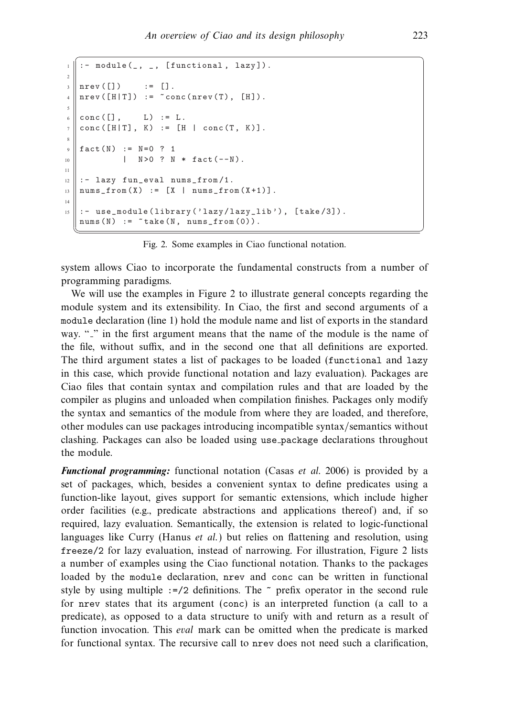```
\vert x \vert :- module(\vert x \vert, \vert x, [functional, lazy]).
2
3 \parallel nrev([]) := [].
4 \parallel nrev([H|T]) := \sim conc (nrev(T), [H]).
5
6 \mid \text{conc}([1], \quad L) := L.7 \parallel \text{conc}(\llbracket H \rrbracket T], K := \llbracket H \parallel \text{conc} (T, K) \rrbracket.
8
9 \parallel \text{fact}(N) := N=0 ? 1
_{10} | N > 0 ? N * fact (--N).
11
\|12\| :- lazy fun_eval nums_from/1.
_{13} nums_from(X) := [X | nums_from(X+1)].
14
\|\cdot\|: - use_module(library('lazy/lazy_lib'), [take/3]).
    nums(N) := \tilde{\tau} take(N, nums_from(0)).
```
Fig. 2. Some examples in Ciao functional notation.

system allows Ciao to incorporate the fundamental constructs from a number of programming paradigms.

We will use the examples in Figure 2 to illustrate general concepts regarding the module system and its extensibility. In Ciao, the first and second arguments of a module declaration (line 1) hold the module name and list of exports in the standard way. "" in the first argument means that the name of the module is the name of the file, without suffix, and in the second one that all definitions are exported. The third argument states a list of packages to be loaded (functional and lazy in this case, which provide functional notation and lazy evaluation). Packages are Ciao files that contain syntax and compilation rules and that are loaded by the compiler as plugins and unloaded when compilation finishes. Packages only modify the syntax and semantics of the module from where they are loaded, and therefore, other modules can use packages introducing incompatible syntax/semantics without clashing. Packages can also be loaded using use package declarations throughout the module.

*Functional programming:* functional notation (Casas et al. 2006) is provided by a set of packages, which, besides a convenient syntax to define predicates using a function-like layout, gives support for semantic extensions, which include higher order facilities (e.g., predicate abstractions and applications thereof) and, if so required, lazy evaluation. Semantically, the extension is related to logic-functional languages like Curry (Hanus *et al.*) but relies on flattening and resolution, using freeze/2 for lazy evaluation, instead of narrowing. For illustration, Figure 2 lists a number of examples using the Ciao functional notation. Thanks to the packages loaded by the module declaration, nrev and conc can be written in functional style by using multiple  $:=/2$  definitions. The  $\tilde{ }$  prefix operator in the second rule for nrev states that its argument (conc) is an interpreted function (a call to a predicate), as opposed to a data structure to unify with and return as a result of function invocation. This eval mark can be omitted when the predicate is marked for functional syntax. The recursive call to nrev does not need such a clarification,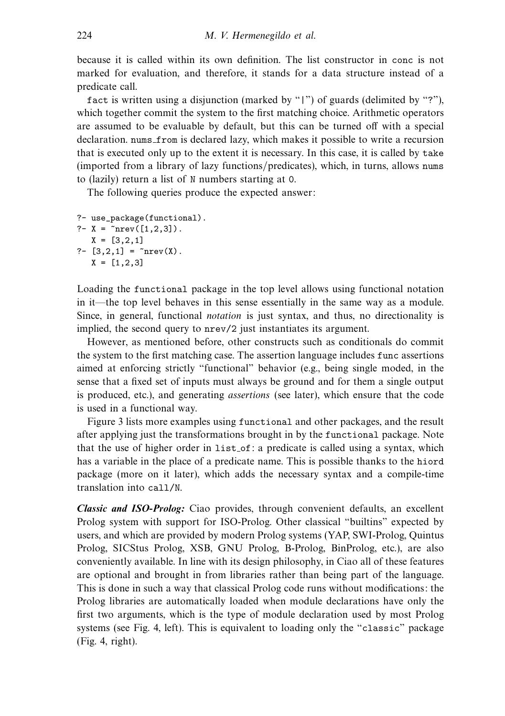because it is called within its own definition. The list constructor in conc is not marked for evaluation, and therefore, it stands for a data structure instead of a predicate call.

fact is written using a disjunction (marked by "|") of guards (delimited by "?"), which together commit the system to the first matching choice. Arithmetic operators are assumed to be evaluable by default, but this can be turned off with a special declaration. nums from is declared lazy, which makes it possible to write a recursion that is executed only up to the extent it is necessary. In this case, it is called by take (imported from a library of lazy functions/predicates), which, in turns, allows nums to (lazily) return a list of N numbers starting at 0.

The following queries produce the expected answer:

```
?- use_package(functional).
?- X = \text{rnew}([1, 2, 3]).
   X = [3, 2, 1]?- [3,2,1] = \text{r}_{\text{nrev}}(X).
   X = [1, 2, 3]
```
Loading the functional package in the top level allows using functional notation in it—the top level behaves in this sense essentially in the same way as a module. Since, in general, functional notation is just syntax, and thus, no directionality is implied, the second query to nrev/2 just instantiates its argument.

However, as mentioned before, other constructs such as conditionals do commit the system to the first matching case. The assertion language includes func assertions aimed at enforcing strictly "functional" behavior (e.g., being single moded, in the sense that a fixed set of inputs must always be ground and for them a single output is produced, etc.), and generating assertions (see later), which ensure that the code is used in a functional way.

Figure 3 lists more examples using functional and other packages, and the result after applying just the transformations brought in by the functional package. Note that the use of higher order in list of: a predicate is called using a syntax, which has a variable in the place of a predicate name. This is possible thanks to the hiord package (more on it later), which adds the necessary syntax and a compile-time translation into call/N.

*Classic and ISO-Prolog:* Ciao provides, through convenient defaults, an excellent Prolog system with support for ISO-Prolog. Other classical "builtins" expected by users, and which are provided by modern Prolog systems (YAP, SWI-Prolog, Quintus Prolog, SICStus Prolog, XSB, GNU Prolog, B-Prolog, BinProlog, etc.), are also conveniently available. In line with its design philosophy, in Ciao all of these features are optional and brought in from libraries rather than being part of the language. This is done in such a way that classical Prolog code runs without modifications: the Prolog libraries are automatically loaded when module declarations have only the first two arguments, which is the type of module declaration used by most Prolog systems (see Fig. 4, left). This is equivalent to loading only the "classic" package (Fig. 4, right).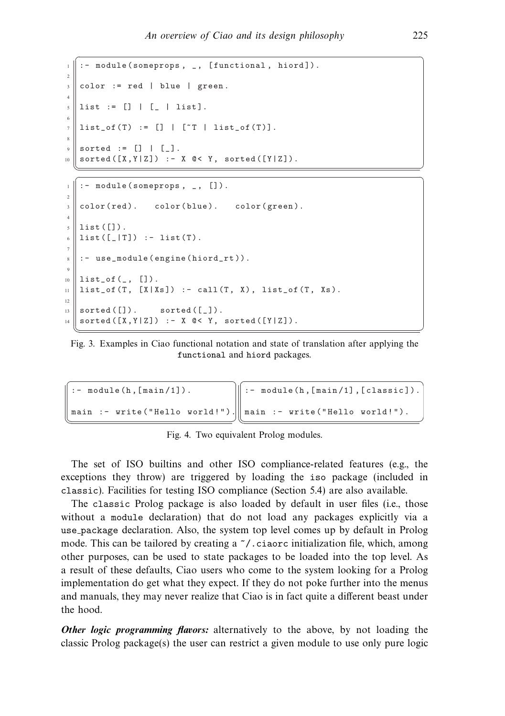```
:- module(someprops, _, [functional, hiord]).
2
3 \parallel color := red \parallel blue \parallel green.4
s \parallel 1ist := [] | [_ | list].
6
   list_of(T) := [] | [T | list_of(T)].8
9 \parallel sorted := [] | [_].
   sorted([X,Y|Z]) :- X @<Y, sorted([Y|Z]).
```

```
\|\cdot\| :- module(someprops, \Box, []).
2
3 \parallel color(red). color(blue). color(green).
4
\vert list([]).
6 \parallel list([_|T]) :- list(T).
7
\| \cdot - \text{use_model}(\text{engine}(\text{hiord\_rt})).9
_{10} | list_of (_, []).
11 list_of(T, [X|Xs]) :- call(T, X), list_of(T, Xs).
12
\| sorted ([]). sorted ([_]).
   sorted([X,Y|Z]) :- X @<Y, sorted([Y|Z]).
```


| $\vert$ :- module $(h, \lceil \text{main}/1 \rceil)$ . | $\ \cdot\ $ :- module (h, [main/1], [classic]).                                          |
|--------------------------------------------------------|------------------------------------------------------------------------------------------|
|                                                        | $\boxed{\text{main}}$ :- write ("Hello world!"). $\Vert$ main :- write ("Hello world!"). |

Fig. 4. Two equivalent Prolog modules.

The set of ISO builtins and other ISO compliance-related features (e.g., the exceptions they throw) are triggered by loading the iso package (included in classic). Facilities for testing ISO compliance (Section 5.4) are also available.

The classic Prolog package is also loaded by default in user files (i.e., those without a module declaration) that do not load any packages explicitly via a use package declaration. Also, the system top level comes up by default in Prolog mode. This can be tailored by creating a ~/.ciaorc initialization file, which, among other purposes, can be used to state packages to be loaded into the top level. As a result of these defaults, Ciao users who come to the system looking for a Prolog implementation do get what they expect. If they do not poke further into the menus and manuals, they may never realize that Ciao is in fact quite a different beast under the hood.

*Other logic programming flavors:* alternatively to the above, by not loading the classic Prolog package(s) the user can restrict a given module to use only pure logic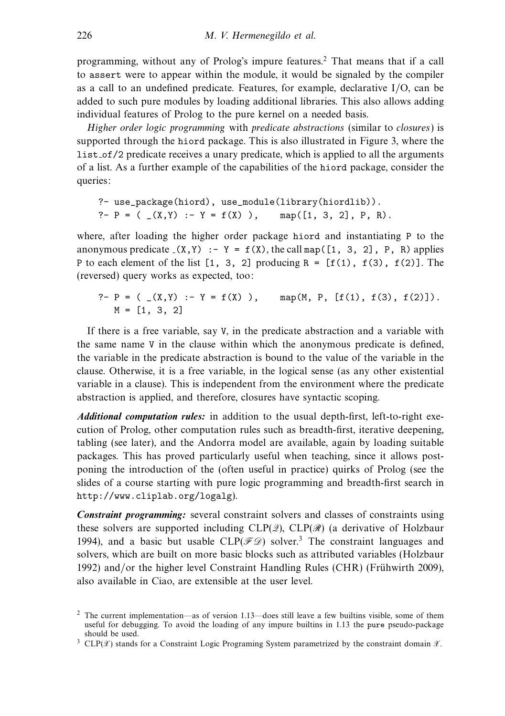programming, without any of Prolog's impure features.2 That means that if a call to assert were to appear within the module, it would be signaled by the compiler as a call to an undefined predicate. Features, for example, declarative I/O, can be added to such pure modules by loading additional libraries. This also allows adding individual features of Prolog to the pure kernel on a needed basis.

Higher order logic programming with predicate abstractions (similar to closures) is supported through the hiord package. This is also illustrated in Figure 3, where the list of/2 predicate receives a unary predicate, which is applied to all the arguments of a list. As a further example of the capabilities of the hiord package, consider the queries:

```
?- use_package(hiord), use_module(library(hiordlib)).
?- P = ( (X,Y) : -Y = f(X) ), map([1, 3, 2], P, R).
```
where, after loading the higher order package hiord and instantiating P to the anonymous predicate  $(X, Y)$  :- Y = f(X), the call map([1, 3, 2], P, R) applies P to each element of the list  $[1, 3, 2]$  producing R =  $[f(1), f(3), f(2)]$ . The (reversed) query works as expected, too:

?-  $P = ( (X,Y) : -Y = f(X) )$ , map(M, P,  $[f(1), f(3), f(2)]$ ).  $M = [1, 3, 2]$ 

If there is a free variable, say V, in the predicate abstraction and a variable with the same name V in the clause within which the anonymous predicate is defined, the variable in the predicate abstraction is bound to the value of the variable in the clause. Otherwise, it is a free variable, in the logical sense (as any other existential variable in a clause). This is independent from the environment where the predicate abstraction is applied, and therefore, closures have syntactic scoping.

*Additional computation rules:* in addition to the usual depth-first, left-to-right execution of Prolog, other computation rules such as breadth-first, iterative deepening, tabling (see later), and the Andorra model are available, again by loading suitable packages. This has proved particularly useful when teaching, since it allows postponing the introduction of the (often useful in practice) quirks of Prolog (see the slides of a course starting with pure logic programming and breadth-first search in http://www.cliplab.org/logalg).

*Constraint programming:* several constraint solvers and classes of constraints using these solvers are supported including  $CLP(\mathcal{Q})$ ,  $CLP(\mathcal{R})$  (a derivative of Holzbaur 1994), and a basic but usable  $CLP(\mathcal{FD})$  solver.<sup>3</sup> The constraint languages and solvers, which are built on more basic blocks such as attributed variables (Holzbaur 1992) and/or the higher level Constraint Handling Rules (CHR) (Frühwirth 2009), also available in Ciao, are extensible at the user level.

<sup>&</sup>lt;sup>2</sup> The current implementation—as of version  $1.13$ —does still leave a few builtins visible, some of them useful for debugging. To avoid the loading of any impure builtins in 1.13 the pure pseudo-package should be used.

<sup>&</sup>lt;sup>3</sup> CLP( $\mathcal{X}$ ) stands for a Constraint Logic Programing System parametrized by the constraint domain  $\mathcal{X}$ .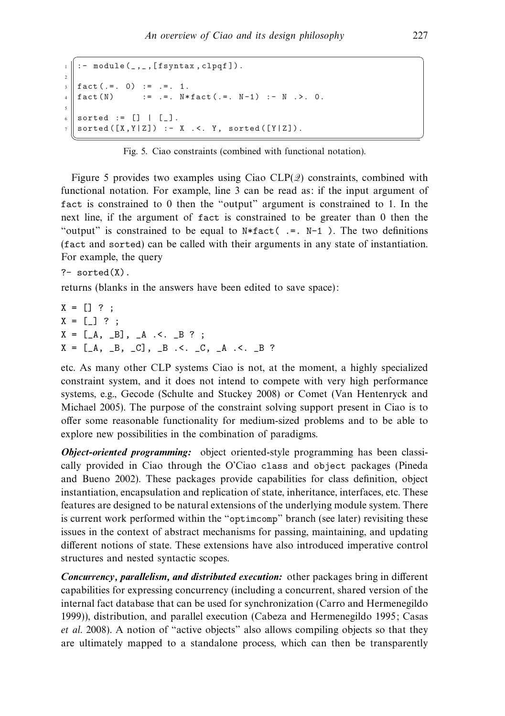```
|| :- module(\_,\_, [fsyntax, clpqf]).
2
3 \text{ |} \text{fact } (\cdot = . \quad 0) \text{ :} = . = . \quad 1.4 \parallel \text{fact}(N) := .=. N*fact (.=. N-1) :- N .>. 0.
5
\begin{array}{ccc} \circ & \circ \\ \circ & \circ \end{array} sorted := [] | [_].
     sorted([X,Y|Z]) := X \cdot \langle . \, Y, sorted([Y|Z]).
```
Fig. 5. Ciao constraints (combined with functional notation).

Figure 5 provides two examples using Ciao  $CLP(\mathcal{Q})$  constraints, combined with functional notation. For example, line 3 can be read as: if the input argument of fact is constrained to 0 then the "output" argument is constrained to 1. In the next line, if the argument of fact is constrained to be greater than 0 then the "output" is constrained to be equal to  $N*fact$  ( $:=$ .  $N-1$ ). The two definitions (fact and sorted) can be called with their arguments in any state of instantiation. For example, the query

 $?$ - sorted $(X)$ .

returns (blanks in the answers have been edited to save space):

 $X = [] ?$ ;  $X = []$  ? ;  $X = [-A, -B], -A \cdot < -B$  ? ;  $X = [-A, -B, -C], -B \cdot < -C, -A \cdot < -B$  ?

etc. As many other CLP systems Ciao is not, at the moment, a highly specialized constraint system, and it does not intend to compete with very high performance systems, e.g., Gecode (Schulte and Stuckey 2008) or Comet (Van Hentenryck and Michael 2005). The purpose of the constraint solving support present in Ciao is to offer some reasonable functionality for medium-sized problems and to be able to explore new possibilities in the combination of paradigms.

*Object-oriented programming:* object oriented-style programming has been classically provided in Ciao through the O'Ciao class and object packages (Pineda and Bueno 2002). These packages provide capabilities for class definition, object instantiation, encapsulation and replication of state, inheritance, interfaces, etc. These features are designed to be natural extensions of the underlying module system. There is current work performed within the "optimcomp" branch (see later) revisiting these issues in the context of abstract mechanisms for passing, maintaining, and updating different notions of state. These extensions have also introduced imperative control structures and nested syntactic scopes.

*Concurrency, parallelism, and distributed execution:* other packages bring in different capabilities for expressing concurrency (including a concurrent, shared version of the internal fact database that can be used for synchronization (Carro and Hermenegildo 1999)), distribution, and parallel execution (Cabeza and Hermenegildo 1995; Casas et al. 2008). A notion of "active objects" also allows compiling objects so that they are ultimately mapped to a standalone process, which can then be transparently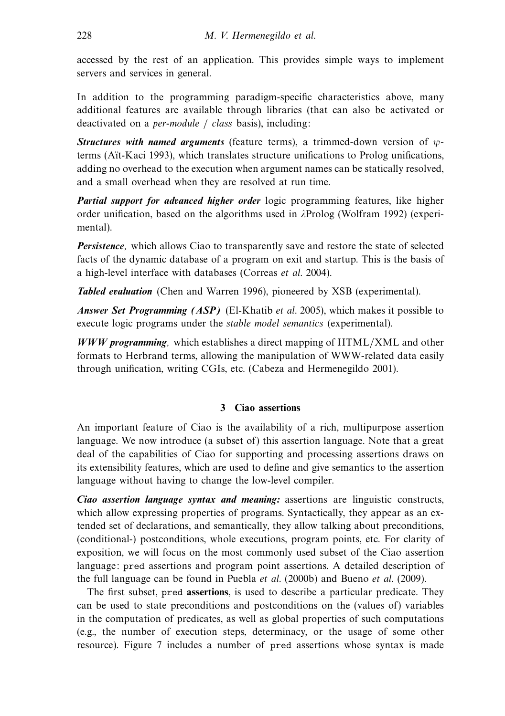accessed by the rest of an application. This provides simple ways to implement servers and services in general.

In addition to the programming paradigm-specific characteristics above, many additional features are available through libraries (that can also be activated or deactivated on a per-module / class basis), including:

*Structures with named arguments* (feature terms), a trimmed-down version of *ψ*terms (Aït-Kaci 1993), which translates structure unifications to Prolog unifications, adding no overhead to the execution when argument names can be statically resolved, and a small overhead when they are resolved at run time.

*Partial support for advanced higher order* logic programming features, like higher order unification, based on the algorithms used in *λ*Prolog (Wolfram 1992) (experimental).

*Persistence*, which allows Ciao to transparently save and restore the state of selected facts of the dynamic database of a program on exit and startup. This is the basis of a high-level interface with databases (Correas et al. 2004).

*Tabled evaluation* (Chen and Warren 1996), pioneered by XSB (experimental).

*Answer Set Programming (ASP)* (El-Khatib et al. 2005), which makes it possible to execute logic programs under the stable model semantics (experimental).

*WWW programming*, which establishes a direct mapping of HTML/XML and other formats to Herbrand terms, allowing the manipulation of WWW-related data easily through unification, writing CGIs, etc. (Cabeza and Hermenegildo 2001).

## **3 Ciao assertions**

An important feature of Ciao is the availability of a rich, multipurpose assertion language. We now introduce (a subset of) this assertion language. Note that a great deal of the capabilities of Ciao for supporting and processing assertions draws on its extensibility features, which are used to define and give semantics to the assertion language without having to change the low-level compiler.

*Ciao assertion language syntax and meaning:* assertions are linguistic constructs, which allow expressing properties of programs. Syntactically, they appear as an extended set of declarations, and semantically, they allow talking about preconditions, (conditional-) postconditions, whole executions, program points, etc. For clarity of exposition, we will focus on the most commonly used subset of the Ciao assertion language: pred assertions and program point assertions. A detailed description of the full language can be found in Puebla et al. (2000b) and Bueno et al. (2009).

The first subset, pred **assertions**, is used to describe a particular predicate. They can be used to state preconditions and postconditions on the (values of) variables in the computation of predicates, as well as global properties of such computations (e.g., the number of execution steps, determinacy, or the usage of some other resource). Figure 7 includes a number of pred assertions whose syntax is made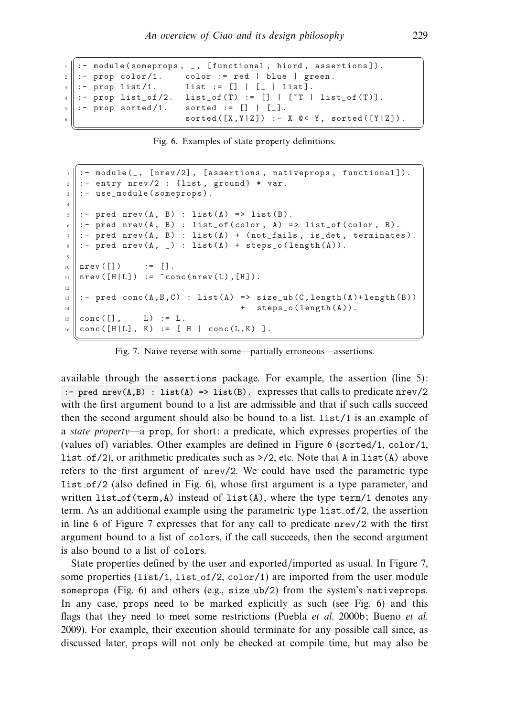```
\|\cdot\|:- module(someprops, \overline{\cdot}, [functional, hiord, assertions]).
2 \parallel \cdot prop color/1. color := red | blue | green.
3 \mid \cdot - prop list/1. list := [] | [_ | list].
\frac{4}{1} :- prop list_of/2. list_of(T) := [] | [~T | list_of(T)].
s \mid \cdot = prop sorted/1. sorted := [] | [_].
6 \vert sorted([X, Y|Z]) :- X \mathbb{Q} < Y, sorted([Y|Z]).
```
Fig. 6. Examples of state property definitions.

```
:- module(_, [nrev/2], [assertions, nativeprops, functional]).
\|z\| :- entry nrev/2 : {list, ground} * var.
\vert :- use_module(someprops).
4
\vert s \vert :- pred nrev(A, B) : list(A) => list(B).
\|\cdot\| :- pred nrev(A, B) : list_of(color, A) => list_of(color, B).
7 \parallel :- pred nrev(A, B) : list(A) + (not_fails, is_det, terminates).
\| \cdot\| :- pred nrev(A, _) : list(A) + steps_o(length(A)).
9
_{10} || nrev([]) := [].
\| \text{nrev}([H|L]) \| := \text{cone}(\text{nrev}(L), [H]).12
13 :- pred conc(A,B,C) : list(A) => size_ub(C,length(A)+length(B))
\vert \vert + steps_o(length(A)).
_{15} | conc ([], L) := L.
_{16} conc ([H|L], K) := [ H | conc(L,K) ].
```
Fig. 7. Naive reverse with some—partially erroneous—assertions.

available through the assertions package. For example, the assertion (line 5): :- pred nrev( $A, B$ ) : list( $A$ ) => list( $B$ ). expresses that calls to predicate nrev/2 with the first argument bound to a list are admissible and that if such calls succeed then the second argument should also be bound to a list. list/1 is an example of a state property—a prop, for short: a predicate, which expresses properties of the (values of) variables. Other examples are defined in Figure 6 (sorted/1, color/1, list  $of/2$ , or arithmetic predicates such as  $>$ /2, etc. Note that A in list(A) above refers to the first argument of nrev/2. We could have used the parametric type list of/2 (also defined in Fig. 6), whose first argument is a type parameter, and written list\_of(term,A) instead of list(A), where the type term/1 denotes any term. As an additional example using the parametric type list of/2, the assertion in line 6 of Figure 7 expresses that for any call to predicate nrev/2 with the first argument bound to a list of colors, if the call succeeds, then the second argument is also bound to a list of colors.

State properties defined by the user and exported/imported as usual. In Figure 7, some properties  $(iist/1, list_of/2, color/1)$  are imported from the user module someprops (Fig. 6) and others (e.g., size ub/2) from the system's nativeprops. In any case, props need to be marked explicitly as such (see Fig. 6) and this flags that they need to meet some restrictions (Puebla et al. 2000b; Bueno et al. 2009). For example, their execution should terminate for any possible call since, as discussed later, props will not only be checked at compile time, but may also be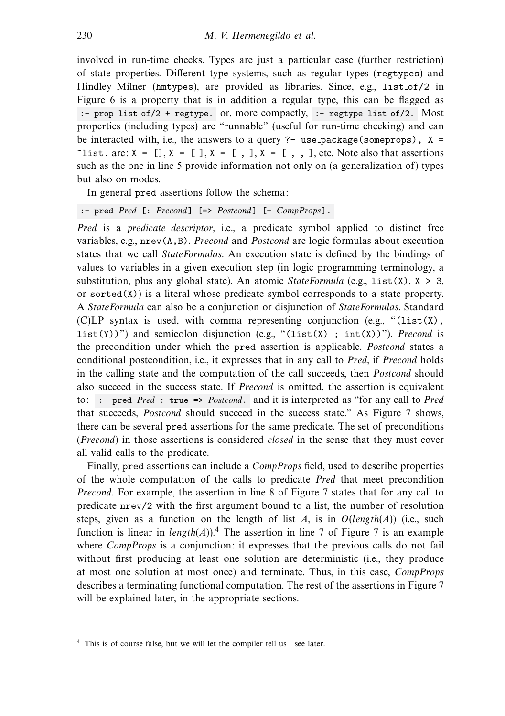involved in run-time checks. Types are just a particular case (further restriction) of state properties. Different type systems, such as regular types (regtypes) and Hindley–Milner (hmtypes), are provided as libraries. Since, e.g.,  $1$ ist<sub>-of</sub>/2 in Figure 6 is a property that is in addition a regular type, this can be flagged as :- prop list\_of/2 + regtype. Or, more compactly, :- regtype list\_of/2. Most properties (including types) are "runnable" (useful for run-time checking) and can be interacted with, i.e., the answers to a query ?- use package (someprops),  $X =$ "list. are:  $X = [ ], X = [ ], X = [ , ], X = [ , ]$ ,  $X = [ , ]$ ,  $X = [ , ]$ , etc. Note also that assertions such as the one in line 5 provide information not only on (a generalization of) types but also on modes.

In general pred assertions follow the schema:

:- pred Pred [: Precond] [=> Postcond] [+ CompProps].

Pred is a predicate descriptor, i.e., a predicate symbol applied to distinct free variables, e.g., nrev(A,B). Precond and Postcond are logic formulas about execution states that we call StateFormulas. An execution state is defined by the bindings of values to variables in a given execution step (in logic programming terminology, a substitution, plus any global state). An atomic StateFormula (e.g.,  $list(X)$ ,  $X > 3$ , or sorted $(X)$ ) is a literal whose predicate symbol corresponds to a state property. A StateFormula can also be a conjunction or disjunction of StateFormulas. Standard (C)LP syntax is used, with comma representing conjunction (e.g., " $(list(X),$ list(Y))") and semicolon disjunction (e.g., "(list(X) ; int(X))"). Precond is the precondition under which the pred assertion is applicable. Postcond states a conditional postcondition, i.e., it expresses that in any call to Pred, if Precond holds in the calling state and the computation of the call succeeds, then Postcond should also succeed in the success state. If Precond is omitted, the assertion is equivalent to:  $:$  pred Pred : true => Postcond. and it is interpreted as "for any call to Pred that succeeds, Postcond should succeed in the success state." As Figure 7 shows, there can be several pred assertions for the same predicate. The set of preconditions (Precond) in those assertions is considered closed in the sense that they must cover all valid calls to the predicate.

Finally, pred assertions can include a CompProps field, used to describe properties of the whole computation of the calls to predicate Pred that meet precondition Precond. For example, the assertion in line 8 of Figure 7 states that for any call to predicate nrev/2 with the first argument bound to a list, the number of resolution steps, given as a function on the length of list  $A$ , is in  $O(\text{length}(A))$  (i.e., such function is linear in  $length(A)$ <sup>4</sup>. The assertion in line 7 of Figure 7 is an example where *CompProps* is a conjunction: it expresses that the previous calls do not fail without first producing at least one solution are deterministic (i.e., they produce at most one solution at most once) and terminate. Thus, in this case, CompProps describes a terminating functional computation. The rest of the assertions in Figure 7 will be explained later, in the appropriate sections.

<sup>4</sup> This is of course false, but we will let the compiler tell us—see later.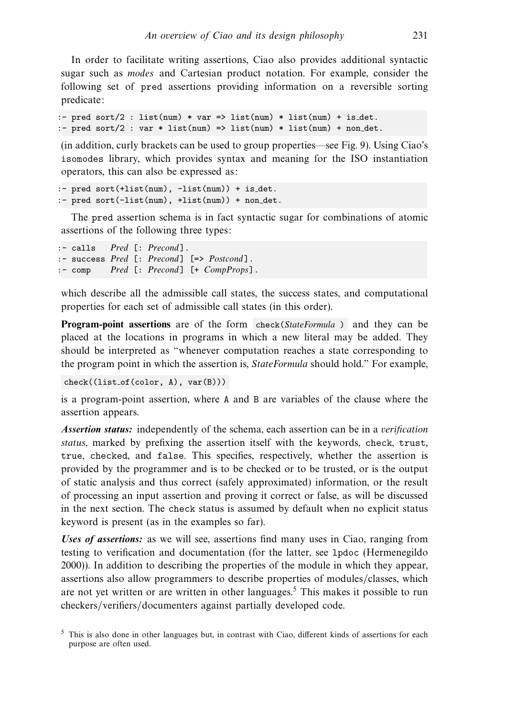In order to facilitate writing assertions, Ciao also provides additional syntactic sugar such as modes and Cartesian product notation. For example, consider the following set of pred assertions providing information on a reversible sorting predicate:

```
:- pred sort/2 : list(num) * var => list(num) * list(num) + is det.
:- pred sort/2 : var * list(num) => list(num) * list(num) + non det.
```
(in addition, curly brackets can be used to group properties—see Fig. 9). Using Ciao's isomodes library, which provides syntax and meaning for the ISO instantiation operators, this can also be expressed as:

```
: pred sort(+list(num), -list(num)) + is det.
:- pred sort(-list(num), +list(num)) + non det.
```
The pred assertion schema is in fact syntactic sugar for combinations of atomic assertions of the following three types:

:- calls Pred [: Precond]. :- success Pred [: Precond] [=> Postcond]. :- comp Pred [: Precond] [+ CompProps].

which describe all the admissible call states, the success states, and computational properties for each set of admissible call states (in this order).

**Program-point assertions** are of the form check(StateFormula) and they can be placed at the locations in programs in which a new literal may be added. They should be interpreted as "whenever computation reaches a state corresponding to the program point in which the assertion is, StateFormula should hold." For example,

check((list\_of(color, A), var(B)))

is a program-point assertion, where A and B are variables of the clause where the assertion appears.

*Assertion status:* independently of the schema, each assertion can be in a verification status, marked by prefixing the assertion itself with the keywords, check, trust, true, checked, and false. This specifies, respectively, whether the assertion is provided by the programmer and is to be checked or to be trusted, or is the output of static analysis and thus correct (safely approximated) information, or the result of processing an input assertion and proving it correct or false, as will be discussed in the next section. The check status is assumed by default when no explicit status keyword is present (as in the examples so far).

*Uses of assertions:* as we will see, assertions find many uses in Ciao, ranging from testing to verification and documentation (for the latter, see lpdoc (Hermenegildo 2000)). In addition to describing the properties of the module in which they appear, assertions also allow programmers to describe properties of modules/classes, which are not yet written or are written in other languages.<sup>5</sup> This makes it possible to run checkers/verifiers/documenters against partially developed code.

 $5$  This is also done in other languages but, in contrast with Ciao, different kinds of assertions for each purpose are often used.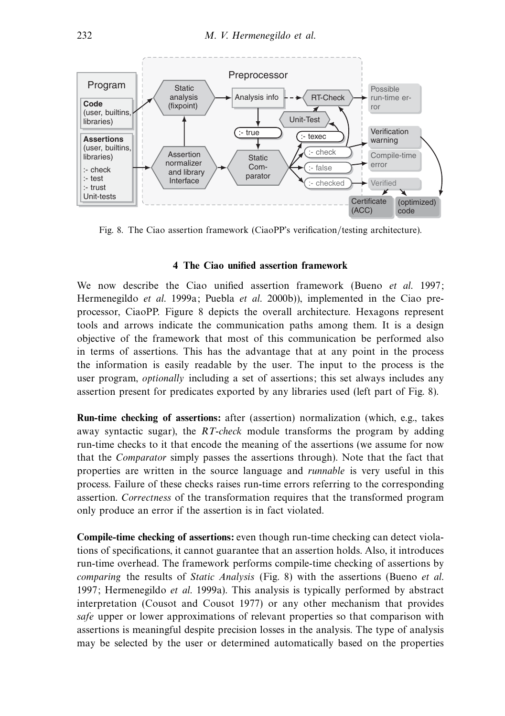

Fig. 8. The Ciao assertion framework (CiaoPP's verification/testing architecture).

## **4 The Ciao unified assertion framework**

We now describe the Ciao unified assertion framework (Bueno *et al.* 1997; Hermenegildo et al. 1999a; Puebla et al. 2000b)), implemented in the Ciao preprocessor, CiaoPP. Figure 8 depicts the overall architecture. Hexagons represent tools and arrows indicate the communication paths among them. It is a design objective of the framework that most of this communication be performed also in terms of assertions. This has the advantage that at any point in the process the information is easily readable by the user. The input to the process is the user program, optionally including a set of assertions; this set always includes any assertion present for predicates exported by any libraries used (left part of Fig. 8).

**Run-time checking of assertions:** after (assertion) normalization (which, e.g., takes away syntactic sugar), the RT-check module transforms the program by adding run-time checks to it that encode the meaning of the assertions (we assume for now that the Comparator simply passes the assertions through). Note that the fact that properties are written in the source language and runnable is very useful in this process. Failure of these checks raises run-time errors referring to the corresponding assertion. Correctness of the transformation requires that the transformed program only produce an error if the assertion is in fact violated.

**Compile-time checking of assertions:** even though run-time checking can detect violations of specifications, it cannot guarantee that an assertion holds. Also, it introduces run-time overhead. The framework performs compile-time checking of assertions by comparing the results of Static Analysis (Fig. 8) with the assertions (Bueno et al. 1997; Hermenegildo et al. 1999a). This analysis is typically performed by abstract interpretation (Cousot and Cousot 1977) or any other mechanism that provides safe upper or lower approximations of relevant properties so that comparison with assertions is meaningful despite precision losses in the analysis. The type of analysis may be selected by the user or determined automatically based on the properties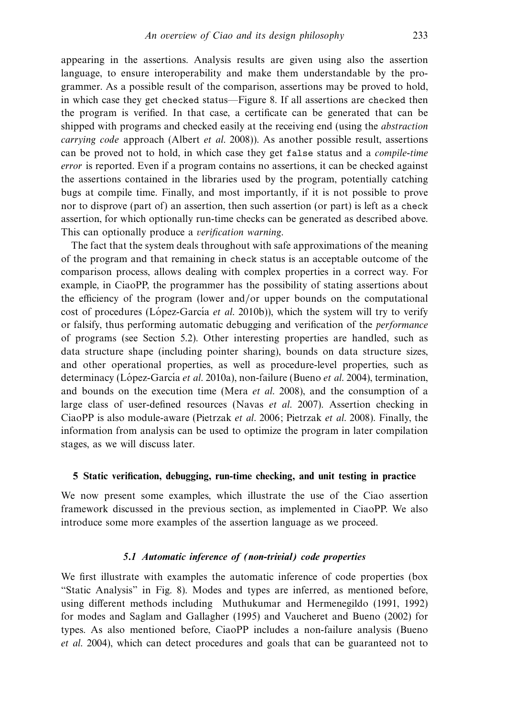appearing in the assertions. Analysis results are given using also the assertion language, to ensure interoperability and make them understandable by the programmer. As a possible result of the comparison, assertions may be proved to hold, in which case they get checked status—Figure 8. If all assertions are checked then the program is verified. In that case, a certificate can be generated that can be shipped with programs and checked easily at the receiving end (using the *abstraction* carrying code approach (Albert et al. 2008)). As another possible result, assertions can be proved not to hold, in which case they get false status and a compile-time error is reported. Even if a program contains no assertions, it can be checked against the assertions contained in the libraries used by the program, potentially catching bugs at compile time. Finally, and most importantly, if it is not possible to prove nor to disprove (part of) an assertion, then such assertion (or part) is left as a check assertion, for which optionally run-time checks can be generated as described above. This can optionally produce a *verification warning*.

The fact that the system deals throughout with safe approximations of the meaning of the program and that remaining in check status is an acceptable outcome of the comparison process, allows dealing with complex properties in a correct way. For example, in CiaoPP, the programmer has the possibility of stating assertions about the efficiency of the program (lower and/or upper bounds on the computational cost of procedures (López-García *et al.* 2010b)), which the system will try to verify or falsify, thus performing automatic debugging and verification of the performance of programs (see Section 5.2). Other interesting properties are handled, such as data structure shape (including pointer sharing), bounds on data structure sizes, and other operational properties, as well as procedure-level properties, such as determinacy (López-García et al. 2010a), non-failure (Bueno et al. 2004), termination, and bounds on the execution time (Mera et al. 2008), and the consumption of a large class of user-defined resources (Navas et al. 2007). Assertion checking in CiaoPP is also module-aware (Pietrzak et al. 2006; Pietrzak et al. 2008). Finally, the information from analysis can be used to optimize the program in later compilation stages, as we will discuss later.

## **5 Static verification, debugging, run-time checking, and unit testing in practice**

We now present some examples, which illustrate the use of the Ciao assertion framework discussed in the previous section, as implemented in CiaoPP. We also introduce some more examples of the assertion language as we proceed.

## *5.1 Automatic inference of (non-trivial) code properties*

We first illustrate with examples the automatic inference of code properties (box "Static Analysis" in Fig. 8). Modes and types are inferred, as mentioned before, using different methods including Muthukumar and Hermenegildo (1991, 1992) for modes and Saglam and Gallagher (1995) and Vaucheret and Bueno (2002) for types. As also mentioned before, CiaoPP includes a non-failure analysis (Bueno et al. 2004), which can detect procedures and goals that can be guaranteed not to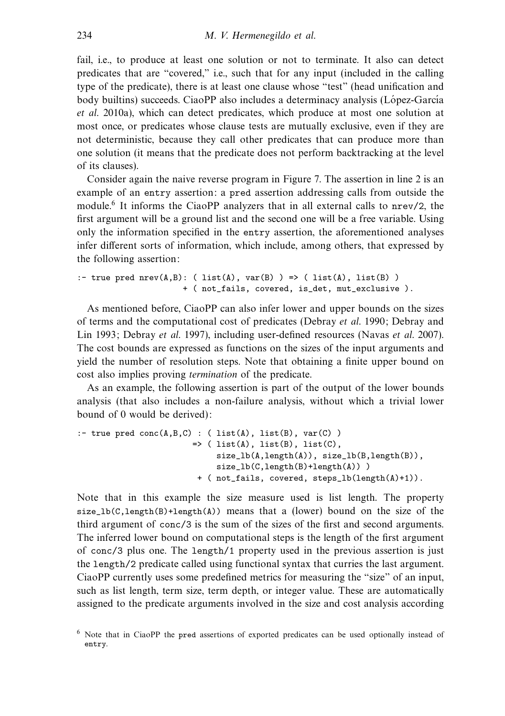fail, i.e., to produce at least one solution or not to terminate. It also can detect predicates that are "covered," i.e., such that for any input (included in the calling type of the predicate), there is at least one clause whose "test" (head unification and body builtins) succeeds. CiaoPP also includes a determinacy analysis (López-García et al. 2010a), which can detect predicates, which produce at most one solution at most once, or predicates whose clause tests are mutually exclusive, even if they are not deterministic, because they call other predicates that can produce more than one solution (it means that the predicate does not perform backtracking at the level of its clauses).

Consider again the naive reverse program in Figure 7. The assertion in line 2 is an example of an entry assertion: a pred assertion addressing calls from outside the module.6 It informs the CiaoPP analyzers that in all external calls to nrev/2, the first argument will be a ground list and the second one will be a free variable. Using only the information specified in the entry assertion, the aforementioned analyses infer different sorts of information, which include, among others, that expressed by the following assertion:

```
:- true pred nrev(A,B): ( list(A), var(B) ) => ( list(A), list(B) )
                     + ( not_fails, covered, is_det, mut_exclusive ).
```
As mentioned before, CiaoPP can also infer lower and upper bounds on the sizes of terms and the computational cost of predicates (Debray et al. 1990; Debray and Lin 1993; Debray et al. 1997), including user-defined resources (Navas et al. 2007). The cost bounds are expressed as functions on the sizes of the input arguments and yield the number of resolution steps. Note that obtaining a finite upper bound on cost also implies proving termination of the predicate.

As an example, the following assertion is part of the output of the lower bounds analysis (that also includes a non-failure analysis, without which a trivial lower bound of 0 would be derived):

```
:- true pred conc(A,B,C) : ( list(A), list(B), var(C) )
                         \Rightarrow ( list(A), list(B), list(C),
                              size_lb(A,length(A)), size_lb(B,length(B)),
                              size_lb(C,length(B)+length(A)) )
                          + ( not_fails, covered, steps_lb(length(A)+1)).
```
Note that in this example the size measure used is list length. The property size\_lb(C,length(B)+length(A)) means that a (lower) bound on the size of the third argument of conc/3 is the sum of the sizes of the first and second arguments. The inferred lower bound on computational steps is the length of the first argument of conc/3 plus one. The length/1 property used in the previous assertion is just the length/2 predicate called using functional syntax that curries the last argument. CiaoPP currently uses some predefined metrics for measuring the "size" of an input, such as list length, term size, term depth, or integer value. These are automatically assigned to the predicate arguments involved in the size and cost analysis according

<sup>6</sup> Note that in CiaoPP the pred assertions of exported predicates can be used optionally instead of entry.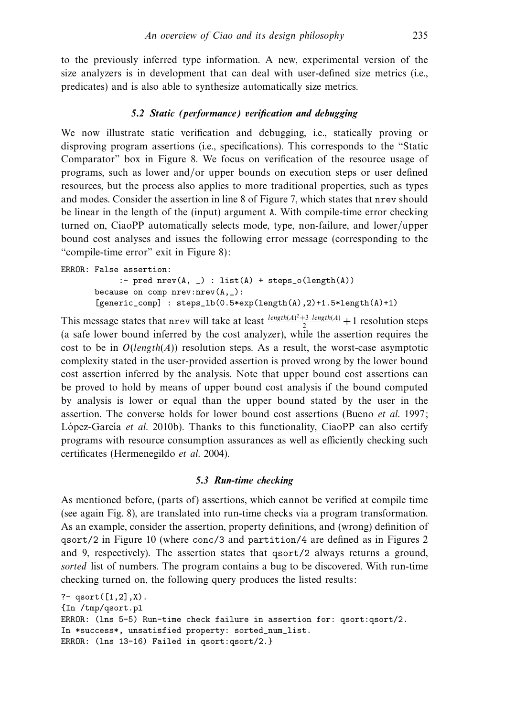to the previously inferred type information. A new, experimental version of the size analyzers is in development that can deal with user-defined size metrics (i.e., predicates) and is also able to synthesize automatically size metrics.

## *5.2 Static (performance) verification and debugging*

We now illustrate static verification and debugging, i.e., statically proving or disproving program assertions (i.e., specifications). This corresponds to the "Static Comparator" box in Figure 8. We focus on verification of the resource usage of programs, such as lower and/or upper bounds on execution steps or user defined resources, but the process also applies to more traditional properties, such as types and modes. Consider the assertion in line 8 of Figure 7, which states that nrev should be linear in the length of the (input) argument A. With compile-time error checking turned on, CiaoPP automatically selects mode, type, non-failure, and lower/upper bound cost analyses and issues the following error message (corresponding to the "compile-time error" exit in Figure 8):

```
ERROR: False assertion:
```

```
: pred nrev(A, _) : list(A) + steps_o(length(A))
because on comp nrev: nrev(A, ):
[generic_comp] : steps_lb(0.5*exp(length(A),2)+1.5*length(A)+1)
```
This message states that nrev will take at least  $\frac{\text{length}(A)^2 + 3 \text{ length}(A)}{2} + 1$  resolution steps (a safe lower bound inferred by the cost analyzer), while the assertion requires the cost to be in  $O(\text{length}(A))$  resolution steps. As a result, the worst-case asymptotic complexity stated in the user-provided assertion is proved wrong by the lower bound cost assertion inferred by the analysis. Note that upper bound cost assertions can be proved to hold by means of upper bound cost analysis if the bound computed by analysis is lower or equal than the upper bound stated by the user in the assertion. The converse holds for lower bound cost assertions (Bueno et al. 1997; López-García et al. 2010b). Thanks to this functionality, CiaoPP can also certify programs with resource consumption assurances as well as efficiently checking such certificates (Hermenegildo et al. 2004).

## *5.3 Run-time checking*

As mentioned before, (parts of) assertions, which cannot be verified at compile time (see again Fig. 8), are translated into run-time checks via a program transformation. As an example, consider the assertion, property definitions, and (wrong) definition of qsort/2 in Figure 10 (where conc/3 and partition/4 are defined as in Figures 2 and 9, respectively). The assertion states that qsort/2 always returns a ground, sorted list of numbers. The program contains a bug to be discovered. With run-time checking turned on, the following query produces the listed results:

```
?- qsort([1,2],X).
{In /tmp/qsort.pl
ERROR: (lns 5-5) Run-time check failure in assertion for: qsort:qsort/2.
In *success*, unsatisfied property: sorted_num_list.
ERROR: (lns 13-16) Failed in qsort:qsort/2.}
```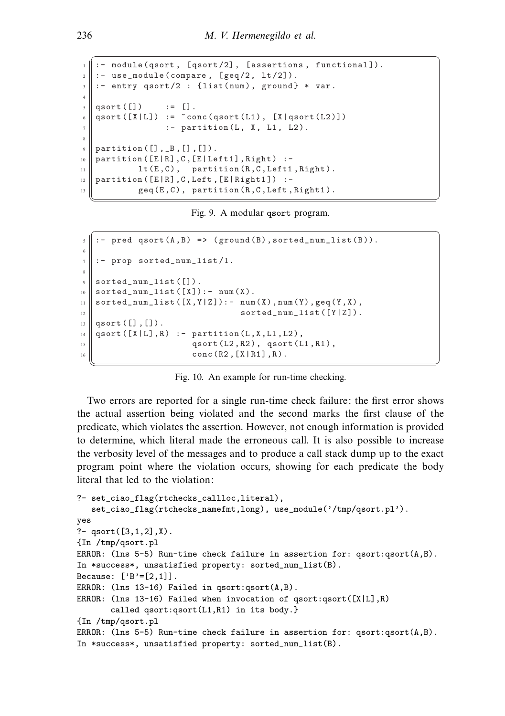```
\|\cdot\|:- module(qsort, [qsort/2], [assertions, functional]).
2 \parallel \cdot - use_module(compare, [geq/2, lt/2]).
\vert 3 \vert :- entry qsort/2 : {list(num), ground} * var.
4
\{s \mid \text{qsort}([.) \quad : = []. \right.6 \parallel qsort([X|L]) := ~conc(qsort(L1), [X|qsort(L2)])
7 \parallel :- partition(L, X, L1, L2).
8
\emptyset partition ([], _B, [], []).
_{10} partition ([E|R], C, [E|Left1], Right) :-
11 lt(E,C), partition(R,C,Left1,Right).
_{12} partition ([E|R], C, Left, [E|Right1]) :-
13 geq(E,C), partition(R,C,Left,Right1).
```
Fig. 9. A modular qsort program.

```
\|\cdot\| :- pred qsort(A,B) => (ground(B), sorted_num_list(B)).
6
7 :- prop sorted num list/1.
8
9 \parallel sorted_num_list([]).
_{10} sorted_num_list([X]):- num(X).
\|\cdot\| sorted_num_list([X, Y|Z]):- num(X),num(Y), geq(Y, X),
\vert sorted_num_list([Y|Z]).
_{13} | qsort ([], []).
_{14} | qsort([X|L], R) :- partition(L, X, L1, L2),
\log_{15} qsort(L2,R2), qsort(L1,R1),
_{16} || conc (R2, [X|R1], R).
```
Fig. 10. An example for run-time checking.

Two errors are reported for a single run-time check failure: the first error shows the actual assertion being violated and the second marks the first clause of the predicate, which violates the assertion. However, not enough information is provided to determine, which literal made the erroneous call. It is also possible to increase the verbosity level of the messages and to produce a call stack dump up to the exact program point where the violation occurs, showing for each predicate the body literal that led to the violation:

```
?- set_ciao_flag(rtchecks_callloc,literal),
   set_ciao_flag(rtchecks_namefmt,long), use_module('/tmp/qsort.pl').
yes
?- qsort([3,1,2],X).
{In /tmp/qsort.pl
ERROR: (lns 5-5) Run-time check failure in assertion for: qsort:(A,B).
In *success*, unsatisfied property: sorted_num_list(B).
Because: ['B'=[2,1]].
ERROR: (lns 13-16) Failed in qsort:qsort(A,B).
ERROR: (lns 13-16) Failed when invocation of qsort:qsort([X|L],R)
       called qsort:qsort(L1,R1) in its body.}
{In /tmp/qsort.pl
ERROR: (lns 5-5) Run-time check failure in assertion for: qsort:(A,B).
In *success*, unsatisfied property: sorted_num_list(B).
```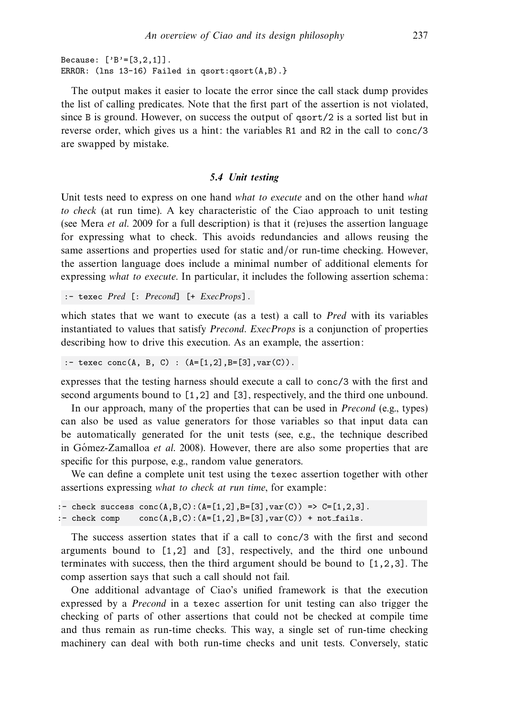Because:  $[{}^{3}B' = [3, 2, 1]]$ . ERROR: (lns 13-16) Failed in qsort:qsort(A,B).}

The output makes it easier to locate the error since the call stack dump provides the list of calling predicates. Note that the first part of the assertion is not violated, since  $\overline{B}$  is ground. However, on success the output of  $qsort/2$  is a sorted list but in reverse order, which gives us a hint: the variables R1 and R2 in the call to conc/3 are swapped by mistake.

#### *5.4 Unit testing*

Unit tests need to express on one hand what to execute and on the other hand what to check (at run time). A key characteristic of the Ciao approach to unit testing (see Mera et al. 2009 for a full description) is that it (re)uses the assertion language for expressing what to check. This avoids redundancies and allows reusing the same assertions and properties used for static and/or run-time checking. However, the assertion language does include a minimal number of additional elements for expressing what to execute. In particular, it includes the following assertion schema:

:- texec Pred [: Precond] [+ ExecProps].

which states that we want to execute (as a test) a call to *Pred* with its variables instantiated to values that satisfy Precond. ExecProps is a conjunction of properties describing how to drive this execution. As an example, the assertion:

:- texec conc(A, B, C) :  $(A=[1,2], B=[3], \text{var}(C))$ .

expresses that the testing harness should execute a call to conc/3 with the first and second arguments bound to [1,2] and [3], respectively, and the third one unbound.

In our approach, many of the properties that can be used in Precond (e.g., types) can also be used as value generators for those variables so that input data can be automatically generated for the unit tests (see, e.g., the technique described in Gómez-Zamalloa et al. 2008). However, there are also some properties that are specific for this purpose, e.g., random value generators.

We can define a complete unit test using the texec assertion together with other assertions expressing what to check at run time, for example:

```
:- check success conc(A, B, C) : (A = [1, 2], B = [3], var(C)) \implies C = [1, 2, 3].:- check comp conc(A,B,C):(A=[1,2],B=[3],var(C)) + not fails.
```
The success assertion states that if a call to conc/3 with the first and second arguments bound to [1,2] and [3], respectively, and the third one unbound terminates with success, then the third argument should be bound to [1,2,3]. The comp assertion says that such a call should not fail.

One additional advantage of Ciao's unified framework is that the execution expressed by a Precond in a texec assertion for unit testing can also trigger the checking of parts of other assertions that could not be checked at compile time and thus remain as run-time checks. This way, a single set of run-time checking machinery can deal with both run-time checks and unit tests. Conversely, static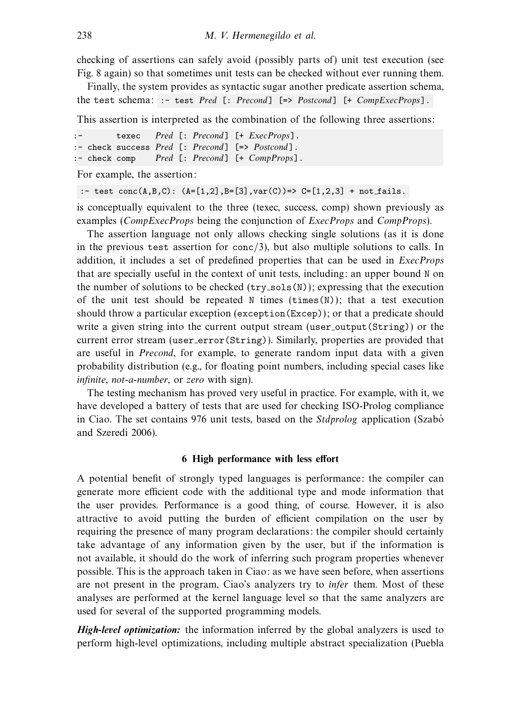checking of assertions can safely avoid (possibly parts of) unit test execution (see Fig. 8 again) so that sometimes unit tests can be checked without ever running them.

Finally, the system provides as syntactic sugar another predicate assertion schema, the test schema: :- test Pred [: Precond] [=> Postcond] [+ CompExecProps].

This assertion is interpreted as the combination of the following three assertions:

:- texec Pred [: Precond] [+ ExecProps]. :- check success Pred [: Precond] [=> Postcond]. :- check comp Pred [: Precond] [+ CompProps].

For example, the assertion:

:- test conc $(A, B, C)$ :  $(A = [1, 2], B = [3], \text{var}(C)) \Rightarrow C = [1, 2, 3] + \text{not fails}.$ 

is conceptually equivalent to the three (texec, success, comp) shown previously as examples (CompExecProps being the conjunction of ExecProps and CompProps).

The assertion language not only allows checking single solutions (as it is done in the previous test assertion for  $conc/3$ ), but also multiple solutions to calls. In addition, it includes a set of predefined properties that can be used in ExecProps that are specially useful in the context of unit tests, including: an upper bound N on the number of solutions to be checked  $(\text{try\_sols}(N))$ ; expressing that the execution of the unit test should be repeated N times (times $(N)$ ); that a test execution should throw a particular exception (exception(Excep)); or that a predicate should write a given string into the current output stream (user\_output(String)) or the current error stream (user error(String)). Similarly, properties are provided that are useful in Precond, for example, to generate random input data with a given probability distribution (e.g., for floating point numbers, including special cases like infinite, not-a-number, or zero with sign).

The testing mechanism has proved very useful in practice. For example, with it, we have developed a battery of tests that are used for checking ISO-Prolog compliance in Ciao. The set contains 976 unit tests, based on the *Stdprolog* application (Szabó and Szeredi 2006).

#### **6 High performance with less effort**

A potential benefit of strongly typed languages is performance: the compiler can generate more efficient code with the additional type and mode information that the user provides. Performance is a good thing, of course. However, it is also attractive to avoid putting the burden of efficient compilation on the user by requiring the presence of many program declarations: the compiler should certainly take advantage of any information given by the user, but if the information is not available, it should do the work of inferring such program properties whenever possible. This is the approach taken in Ciao: as we have seen before, when assertions are not present in the program, Ciao's analyzers try to *infer* them. Most of these analyses are performed at the kernel language level so that the same analyzers are used for several of the supported programming models.

*High-level optimization:* the information inferred by the global analyzers is used to perform high-level optimizations, including multiple abstract specialization (Puebla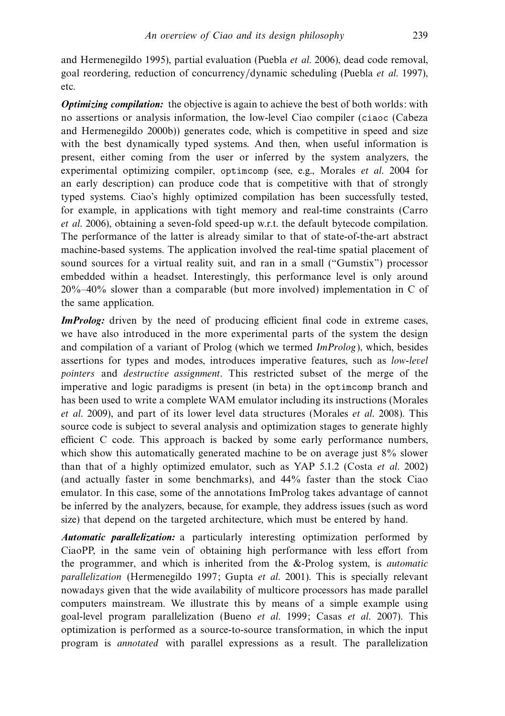and Hermenegildo 1995), partial evaluation (Puebla et al. 2006), dead code removal, goal reordering, reduction of concurrency/dynamic scheduling (Puebla et al. 1997), etc.

*Optimizing compilation:* the objective is again to achieve the best of both worlds: with no assertions or analysis information, the low-level Ciao compiler (ciaoc (Cabeza and Hermenegildo 2000b)) generates code, which is competitive in speed and size with the best dynamically typed systems. And then, when useful information is present, either coming from the user or inferred by the system analyzers, the experimental optimizing compiler, optimcomp (see, e.g., Morales et al. 2004 for an early description) can produce code that is competitive with that of strongly typed systems. Ciao's highly optimized compilation has been successfully tested, for example, in applications with tight memory and real-time constraints (Carro et al. 2006), obtaining a seven-fold speed-up w.r.t. the default bytecode compilation. The performance of the latter is already similar to that of state-of-the-art abstract machine-based systems. The application involved the real-time spatial placement of sound sources for a virtual reality suit, and ran in a small ("Gumstix") processor embedded within a headset. Interestingly, this performance level is only around 20%–40% slower than a comparable (but more involved) implementation in C of the same application.

*ImProlog:* driven by the need of producing efficient final code in extreme cases, we have also introduced in the more experimental parts of the system the design and compilation of a variant of Prolog (which we termed ImProlog), which, besides assertions for types and modes, introduces imperative features, such as low-level pointers and destructive assignment. This restricted subset of the merge of the imperative and logic paradigms is present (in beta) in the optimcomp branch and has been used to write a complete WAM emulator including its instructions (Morales et al. 2009), and part of its lower level data structures (Morales et al. 2008). This source code is subject to several analysis and optimization stages to generate highly efficient C code. This approach is backed by some early performance numbers, which show this automatically generated machine to be on average just 8% slower than that of a highly optimized emulator, such as YAP 5.1.2 (Costa et al. 2002) (and actually faster in some benchmarks), and 44% faster than the stock Ciao emulator. In this case, some of the annotations ImProlog takes advantage of cannot be inferred by the analyzers, because, for example, they address issues (such as word size) that depend on the targeted architecture, which must be entered by hand.

*Automatic parallelization:* a particularly interesting optimization performed by CiaoPP, in the same vein of obtaining high performance with less effort from the programmer, and which is inherited from the  $&$ -Prolog system, is *automatic* parallelization (Hermenegildo 1997; Gupta et al. 2001). This is specially relevant nowadays given that the wide availability of multicore processors has made parallel computers mainstream. We illustrate this by means of a simple example using goal-level program parallelization (Bueno et al. 1999; Casas et al. 2007). This optimization is performed as a source-to-source transformation, in which the input program is annotated with parallel expressions as a result. The parallelization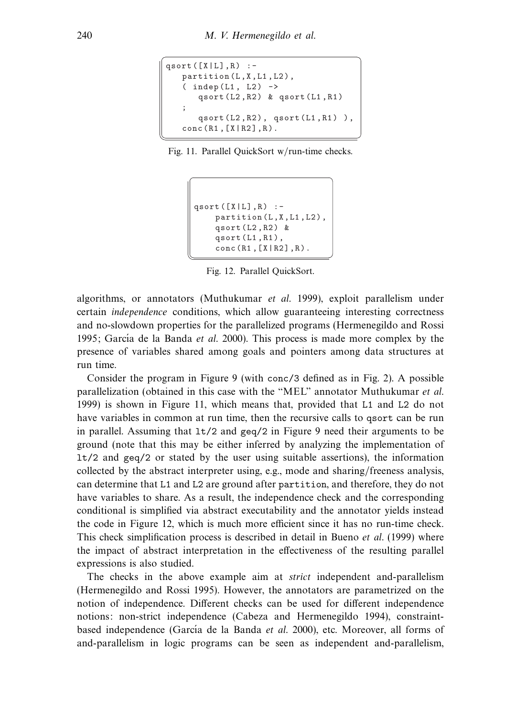```
qsort([X|L], R) :-
   partition(L,X,L1 ,L2),
   ( indep(L1 , L2) ->
      qsort(L2 ,R2) & qsort(L1 ,R1)
   ;
      qsort(L2, R2), qsort(L1, R1)),
   cone(R1, [X|R2], R).
```


```
qsort([X|L], R) :-
    partition(L,X,L1 ,L2),
    qsort(L2,R2) &
    qsort(L1,R1),
    conc(R1, [X|R2], R).
```
Fig. 12. Parallel QuickSort.

algorithms, or annotators (Muthukumar et al. 1999), exploit parallelism under certain independence conditions, which allow guaranteeing interesting correctness and no-slowdown properties for the parallelized programs (Hermenegildo and Rossi 1995; García de la Banda et al. 2000). This process is made more complex by the presence of variables shared among goals and pointers among data structures at run time.

Consider the program in Figure 9 (with conc/3 defined as in Fig. 2). A possible parallelization (obtained in this case with the "MEL" annotator Muthukumar et al. 1999) is shown in Figure 11, which means that, provided that L1 and L2 do not have variables in common at run time, then the recursive calls to qsort can be run in parallel. Assuming that  $\frac{1t}{2}$  and geq/2 in Figure 9 need their arguments to be ground (note that this may be either inferred by analyzing the implementation of lt/2 and geq/2 or stated by the user using suitable assertions), the information collected by the abstract interpreter using, e.g., mode and sharing/freeness analysis, can determine that L1 and L2 are ground after partition, and therefore, they do not have variables to share. As a result, the independence check and the corresponding conditional is simplified via abstract executability and the annotator yields instead the code in Figure 12, which is much more efficient since it has no run-time check. This check simplification process is described in detail in Bueno *et al.* (1999) where the impact of abstract interpretation in the effectiveness of the resulting parallel expressions is also studied.

The checks in the above example aim at strict independent and-parallelism (Hermenegildo and Rossi 1995). However, the annotators are parametrized on the notion of independence. Different checks can be used for different independence notions: non-strict independence (Cabeza and Hermenegildo 1994), constraintbased independence (García de la Banda et al. 2000), etc. Moreover, all forms of and-parallelism in logic programs can be seen as independent and-parallelism,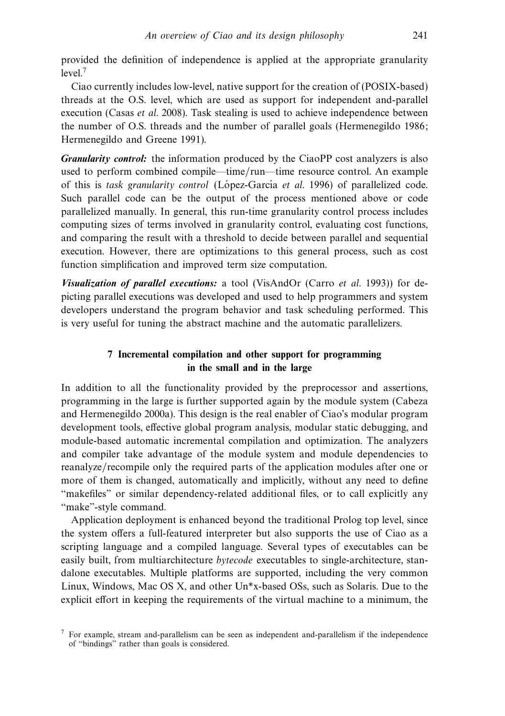provided the definition of independence is applied at the appropriate granularity  $level.<sup>7</sup>$ 

Ciao currently includes low-level, native support for the creation of (POSIX-based) threads at the O.S. level, which are used as support for independent and-parallel execution (Casas et al. 2008). Task stealing is used to achieve independence between the number of O.S. threads and the number of parallel goals (Hermenegildo 1986; Hermenegildo and Greene 1991).

*Granularity control:* the information produced by the CiaoPP cost analyzers is also used to perform combined compile—time/run—time resource control. An example of this is task granularity control (López-García et al. 1996) of parallelized code. Such parallel code can be the output of the process mentioned above or code parallelized manually. In general, this run-time granularity control process includes computing sizes of terms involved in granularity control, evaluating cost functions, and comparing the result with a threshold to decide between parallel and sequential execution. However, there are optimizations to this general process, such as cost function simplification and improved term size computation.

*Visualization of parallel executions:* a tool (VisAndOr (Carro et al. 1993)) for depicting parallel executions was developed and used to help programmers and system developers understand the program behavior and task scheduling performed. This is very useful for tuning the abstract machine and the automatic parallelizers.

## **7 Incremental compilation and other support for programming in the small and in the large**

In addition to all the functionality provided by the preprocessor and assertions, programming in the large is further supported again by the module system (Cabeza and Hermenegildo 2000a). This design is the real enabler of Ciao's modular program development tools, effective global program analysis, modular static debugging, and module-based automatic incremental compilation and optimization. The analyzers and compiler take advantage of the module system and module dependencies to reanalyze/recompile only the required parts of the application modules after one or more of them is changed, automatically and implicitly, without any need to define "makefiles" or similar dependency-related additional files, or to call explicitly any "make"-style command.

Application deployment is enhanced beyond the traditional Prolog top level, since the system offers a full-featured interpreter but also supports the use of Ciao as a scripting language and a compiled language. Several types of executables can be easily built, from multiarchitecture bytecode executables to single-architecture, standalone executables. Multiple platforms are supported, including the very common Linux, Windows, Mac OS X, and other Un\*x-based OSs, such as Solaris. Due to the explicit effort in keeping the requirements of the virtual machine to a minimum, the

 $<sup>7</sup>$  For example, stream and-parallelism can be seen as independent and-parallelism if the independence</sup> of "bindings" rather than goals is considered.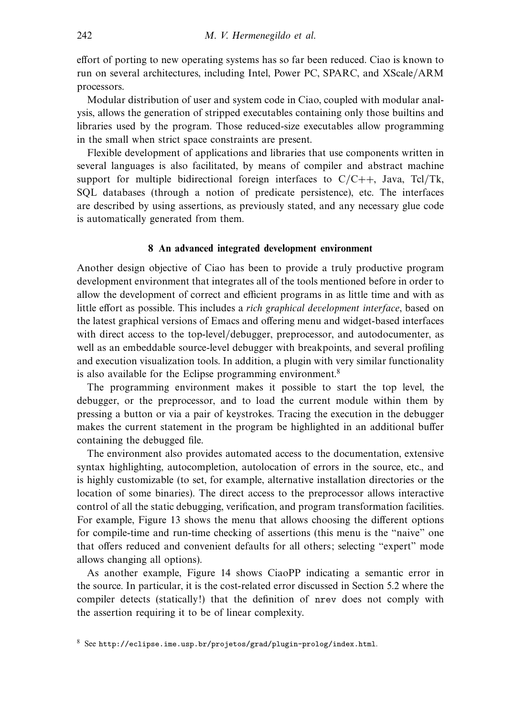effort of porting to new operating systems has so far been reduced. Ciao is known to run on several architectures, including Intel, Power PC, SPARC, and XScale/ARM processors.

Modular distribution of user and system code in Ciao, coupled with modular analysis, allows the generation of stripped executables containing only those builtins and libraries used by the program. Those reduced-size executables allow programming in the small when strict space constraints are present.

Flexible development of applications and libraries that use components written in several languages is also facilitated, by means of compiler and abstract machine support for multiple bidirectional foreign interfaces to  $C/C++$ , Java, Tcl/Tk, SQL databases (through a notion of predicate persistence), etc. The interfaces are described by using assertions, as previously stated, and any necessary glue code is automatically generated from them.

#### **8 An advanced integrated development environment**

Another design objective of Ciao has been to provide a truly productive program development environment that integrates all of the tools mentioned before in order to allow the development of correct and efficient programs in as little time and with as little effort as possible. This includes a rich graphical development interface, based on the latest graphical versions of Emacs and offering menu and widget-based interfaces with direct access to the top-level/debugger, preprocessor, and autodocumenter, as well as an embeddable source-level debugger with breakpoints, and several profiling and execution visualization tools. In addition, a plugin with very similar functionality is also available for the Eclipse programming environment.<sup>8</sup>

The programming environment makes it possible to start the top level, the debugger, or the preprocessor, and to load the current module within them by pressing a button or via a pair of keystrokes. Tracing the execution in the debugger makes the current statement in the program be highlighted in an additional buffer containing the debugged file.

The environment also provides automated access to the documentation, extensive syntax highlighting, autocompletion, autolocation of errors in the source, etc., and is highly customizable (to set, for example, alternative installation directories or the location of some binaries). The direct access to the preprocessor allows interactive control of all the static debugging, verification, and program transformation facilities. For example, Figure 13 shows the menu that allows choosing the different options for compile-time and run-time checking of assertions (this menu is the "naive" one that offers reduced and convenient defaults for all others; selecting "expert" mode allows changing all options).

As another example, Figure 14 shows CiaoPP indicating a semantic error in the source. In particular, it is the cost-related error discussed in Section 5.2 where the compiler detects (statically!) that the definition of nrev does not comply with the assertion requiring it to be of linear complexity.

<sup>8</sup> See http://eclipse.ime.usp.br/projetos/grad/plugin-prolog/index.html.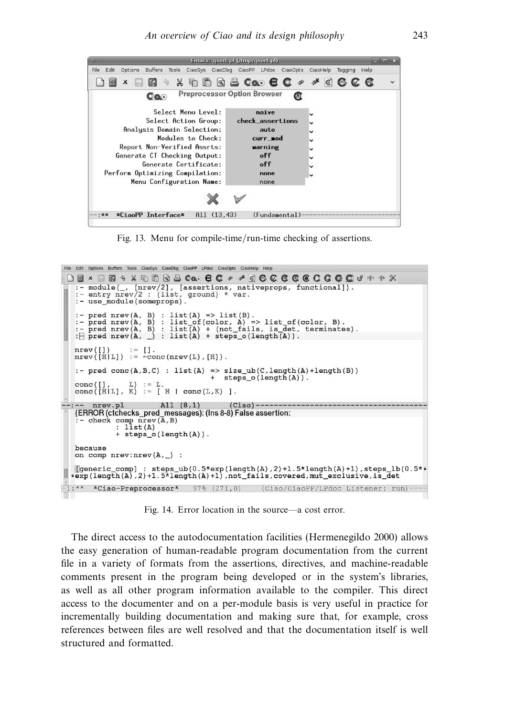

Fig. 13. Menu for compile-time/run-time checking of assertions.

| File Edit Options Buffers Tools CiaoSys CiaoDbg CiaoPP LPdoc CiaoOpts CiaoHelp Help                                                                                                                                                                                                                                                                                                                                                                               |
|-------------------------------------------------------------------------------------------------------------------------------------------------------------------------------------------------------------------------------------------------------------------------------------------------------------------------------------------------------------------------------------------------------------------------------------------------------------------|
| $\blacksquare$ $\times$ $\blacksquare$ $\blacksquare$ $\wedge$ $\blacksquare$ $\blacksquare$ $\blacksquare$ $\blacksquare$ $\blacksquare$ $\blacksquare$ $\emptyset$ $\emptyset$ $\emptyset$ $\emptyset$ $\emptyset$ $\emptyset$ $\emptyset$ $\emptyset$ $\emptyset$ $\emptyset$ $\emptyset$ $\emptyset$ $\emptyset$ $\emptyset$ $\emptyset$ $\emptyset$ $\emptyset$ $\emptyset$ $\emptyset$ $\emptyset$ $\emptyset$ $\emptyset$ $\emptyset$ $\emptyset$ $\empty$ |
| :- module(, [nrev/2], [assertions, nativeprops, functional]).<br>:- entry nrev/2 : {list, ground} $*$ var.<br>:- use module(someprops).                                                                                                                                                                                                                                                                                                                           |
| :- pred nrev $(A, B)$ : list $(A)$ => list $(B)$ .<br>:- pred nrev(A, B) : list_of(color, A) => list_of(color, B).<br>:- pred nrev(A, B) : list(A) + (not_fails, is_det, terminates).<br>: $\Box$ pred nrev(A, ) : list(A) + steps o(length(A)).                                                                                                                                                                                                                  |
| $nrev([])$ := [].<br>$nrev([H L]) := \text{conc}(nrev(L), [H]).$                                                                                                                                                                                                                                                                                                                                                                                                  |
| :- pred conc( $A, B, C$ ) : list( $A$ ) => size_ub( $C,$ length( $A$ )+length( $B$ ))<br>+ steps_o(length(A)).<br>$cone([], L) := L.$<br>conc ( $[H L]$ , K) := [ H   conc $(L,K)$ ].                                                                                                                                                                                                                                                                             |
| {ERROR (ctchecks pred messages): (lns 8-8) False assertion:<br>:- check comp $nrev(A, B)$<br>: $list(A)$<br>$+$ steps_o(length(A)).                                                                                                                                                                                                                                                                                                                               |
| because<br>on comp nrev: $nrev(A)$ :                                                                                                                                                                                                                                                                                                                                                                                                                              |
| $[$ [qeneric_comp] : steps_ub(0.5*exp(length(A),2)+1.5*length(A)+1),steps_lb(0.5**<br>sexp(length(A), 2)+1.5*length(A)+1), not fails, covered, mut exclusive, is det                                                                                                                                                                                                                                                                                              |
| $-1:***$<br>*Ciao-Preprocessor*<br>97% (271,0) (Ciao/CiaoPP/LPdoc Listener: run)                                                                                                                                                                                                                                                                                                                                                                                  |
|                                                                                                                                                                                                                                                                                                                                                                                                                                                                   |

Fig. 14. Error location in the source—a cost error.

The direct access to the autodocumentation facilities (Hermenegildo 2000) allows the easy generation of human-readable program documentation from the current file in a variety of formats from the assertions, directives, and machine-readable comments present in the program being developed or in the system's libraries, as well as all other program information available to the compiler. This direct access to the documenter and on a per-module basis is very useful in practice for incrementally building documentation and making sure that, for example, cross references between files are well resolved and that the documentation itself is well structured and formatted.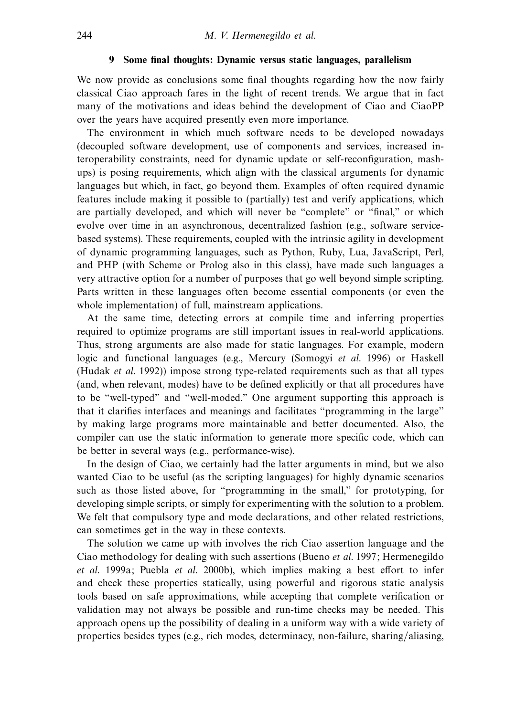#### **9 Some final thoughts: Dynamic versus static languages, parallelism**

We now provide as conclusions some final thoughts regarding how the now fairly classical Ciao approach fares in the light of recent trends. We argue that in fact many of the motivations and ideas behind the development of Ciao and CiaoPP over the years have acquired presently even more importance.

The environment in which much software needs to be developed nowadays (decoupled software development, use of components and services, increased interoperability constraints, need for dynamic update or self-reconfiguration, mashups) is posing requirements, which align with the classical arguments for dynamic languages but which, in fact, go beyond them. Examples of often required dynamic features include making it possible to (partially) test and verify applications, which are partially developed, and which will never be "complete" or "final," or which evolve over time in an asynchronous, decentralized fashion (e.g., software servicebased systems). These requirements, coupled with the intrinsic agility in development of dynamic programming languages, such as Python, Ruby, Lua, JavaScript, Perl, and PHP (with Scheme or Prolog also in this class), have made such languages a very attractive option for a number of purposes that go well beyond simple scripting. Parts written in these languages often become essential components (or even the whole implementation) of full, mainstream applications.

At the same time, detecting errors at compile time and inferring properties required to optimize programs are still important issues in real-world applications. Thus, strong arguments are also made for static languages. For example, modern logic and functional languages (e.g., Mercury (Somogyi et al. 1996) or Haskell (Hudak et al. 1992)) impose strong type-related requirements such as that all types (and, when relevant, modes) have to be defined explicitly or that all procedures have to be "well-typed" and "well-moded." One argument supporting this approach is that it clarifies interfaces and meanings and facilitates "programming in the large" by making large programs more maintainable and better documented. Also, the compiler can use the static information to generate more specific code, which can be better in several ways (e.g., performance-wise).

In the design of Ciao, we certainly had the latter arguments in mind, but we also wanted Ciao to be useful (as the scripting languages) for highly dynamic scenarios such as those listed above, for "programming in the small," for prototyping, for developing simple scripts, or simply for experimenting with the solution to a problem. We felt that compulsory type and mode declarations, and other related restrictions, can sometimes get in the way in these contexts.

The solution we came up with involves the rich Ciao assertion language and the Ciao methodology for dealing with such assertions (Bueno et al. 1997; Hermenegildo et al. 1999a; Puebla et al. 2000b), which implies making a best effort to infer and check these properties statically, using powerful and rigorous static analysis tools based on safe approximations, while accepting that complete verification or validation may not always be possible and run-time checks may be needed. This approach opens up the possibility of dealing in a uniform way with a wide variety of properties besides types (e.g., rich modes, determinacy, non-failure, sharing/aliasing,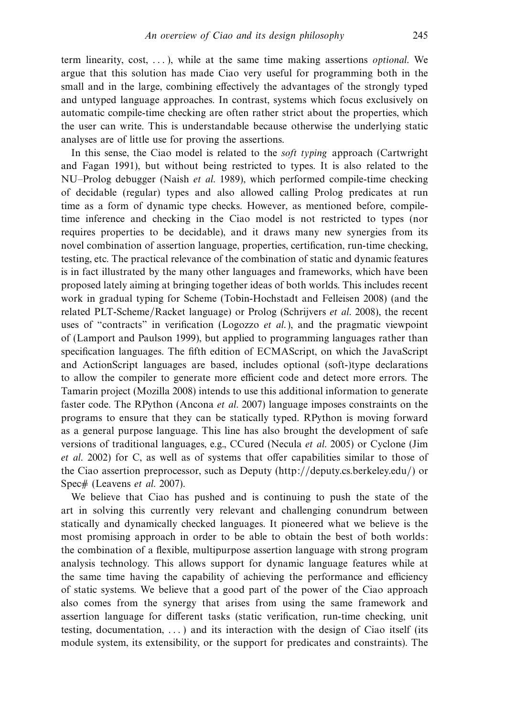term linearity, cost, . . . ), while at the same time making assertions optional. We argue that this solution has made Ciao very useful for programming both in the small and in the large, combining effectively the advantages of the strongly typed and untyped language approaches. In contrast, systems which focus exclusively on automatic compile-time checking are often rather strict about the properties, which the user can write. This is understandable because otherwise the underlying static analyses are of little use for proving the assertions.

In this sense, the Ciao model is related to the *soft typing* approach (Cartwright and Fagan 1991), but without being restricted to types. It is also related to the NU–Prolog debugger (Naish et al. 1989), which performed compile-time checking of decidable (regular) types and also allowed calling Prolog predicates at run time as a form of dynamic type checks. However, as mentioned before, compiletime inference and checking in the Ciao model is not restricted to types (nor requires properties to be decidable), and it draws many new synergies from its novel combination of assertion language, properties, certification, run-time checking, testing, etc. The practical relevance of the combination of static and dynamic features is in fact illustrated by the many other languages and frameworks, which have been proposed lately aiming at bringing together ideas of both worlds. This includes recent work in gradual typing for Scheme (Tobin-Hochstadt and Felleisen 2008) (and the related PLT-Scheme/Racket language) or Prolog (Schrijvers et al. 2008), the recent uses of "contracts" in verification (Logozzo *et al.*), and the pragmatic viewpoint of (Lamport and Paulson 1999), but applied to programming languages rather than specification languages. The fifth edition of ECMAScript, on which the JavaScript and ActionScript languages are based, includes optional (soft-)type declarations to allow the compiler to generate more efficient code and detect more errors. The Tamarin project (Mozilla 2008) intends to use this additional information to generate faster code. The RPython (Ancona et al. 2007) language imposes constraints on the programs to ensure that they can be statically typed. RPython is moving forward as a general purpose language. This line has also brought the development of safe versions of traditional languages, e.g., CCured (Necula et al. 2005) or Cyclone (Jim et al. 2002) for C, as well as of systems that offer capabilities similar to those of the Ciao assertion preprocessor, such as Deputy (http://deputy.cs.berkeley.edu/) or Spec# (Leavens et al. 2007).

We believe that Ciao has pushed and is continuing to push the state of the art in solving this currently very relevant and challenging conundrum between statically and dynamically checked languages. It pioneered what we believe is the most promising approach in order to be able to obtain the best of both worlds: the combination of a flexible, multipurpose assertion language with strong program analysis technology. This allows support for dynamic language features while at the same time having the capability of achieving the performance and efficiency of static systems. We believe that a good part of the power of the Ciao approach also comes from the synergy that arises from using the same framework and assertion language for different tasks (static verification, run-time checking, unit testing, documentation, . . . ) and its interaction with the design of Ciao itself (its module system, its extensibility, or the support for predicates and constraints). The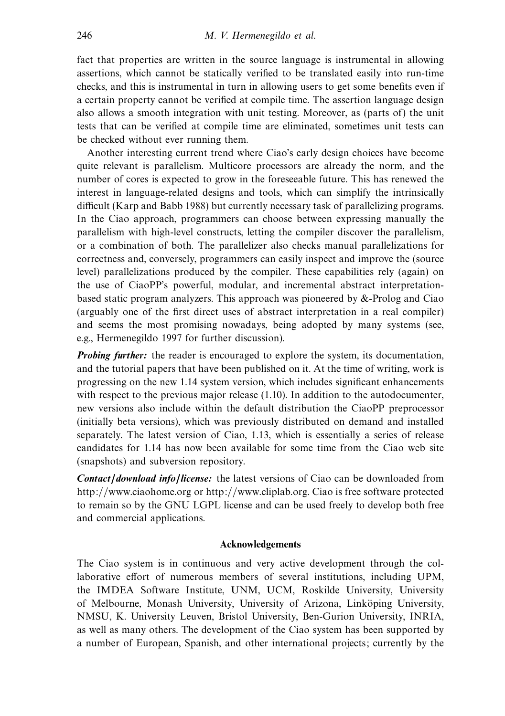fact that properties are written in the source language is instrumental in allowing assertions, which cannot be statically verified to be translated easily into run-time checks, and this is instrumental in turn in allowing users to get some benefits even if a certain property cannot be verified at compile time. The assertion language design also allows a smooth integration with unit testing. Moreover, as (parts of) the unit tests that can be verified at compile time are eliminated, sometimes unit tests can be checked without ever running them.

Another interesting current trend where Ciao's early design choices have become quite relevant is parallelism. Multicore processors are already the norm, and the number of cores is expected to grow in the foreseeable future. This has renewed the interest in language-related designs and tools, which can simplify the intrinsically difficult (Karp and Babb 1988) but currently necessary task of parallelizing programs. In the Ciao approach, programmers can choose between expressing manually the parallelism with high-level constructs, letting the compiler discover the parallelism, or a combination of both. The parallelizer also checks manual parallelizations for correctness and, conversely, programmers can easily inspect and improve the (source level) parallelizations produced by the compiler. These capabilities rely (again) on the use of CiaoPP's powerful, modular, and incremental abstract interpretationbased static program analyzers. This approach was pioneered by &-Prolog and Ciao (arguably one of the first direct uses of abstract interpretation in a real compiler) and seems the most promising nowadays, being adopted by many systems (see, e.g., Hermenegildo 1997 for further discussion).

*Probing further:* the reader is encouraged to explore the system, its documentation, and the tutorial papers that have been published on it. At the time of writing, work is progressing on the new 1.14 system version, which includes significant enhancements with respect to the previous major release (1.10). In addition to the autodocumenter, new versions also include within the default distribution the CiaoPP preprocessor (initially beta versions), which was previously distributed on demand and installed separately. The latest version of Ciao, 1.13, which is essentially a series of release candidates for 1.14 has now been available for some time from the Ciao web site (snapshots) and subversion repository.

*Contact/download info/license:* the latest versions of Ciao can be downloaded from http://www.ciaohome.org or http://www.cliplab.org. Ciao is free software protected to remain so by the GNU LGPL license and can be used freely to develop both free and commercial applications.

#### **Acknowledgements**

The Ciao system is in continuous and very active development through the collaborative effort of numerous members of several institutions, including UPM, the IMDEA Software Institute, UNM, UCM, Roskilde University, University of Melbourne, Monash University, University of Arizona, Linköping University, NMSU, K. University Leuven, Bristol University, Ben-Gurion University, INRIA, as well as many others. The development of the Ciao system has been supported by a number of European, Spanish, and other international projects; currently by the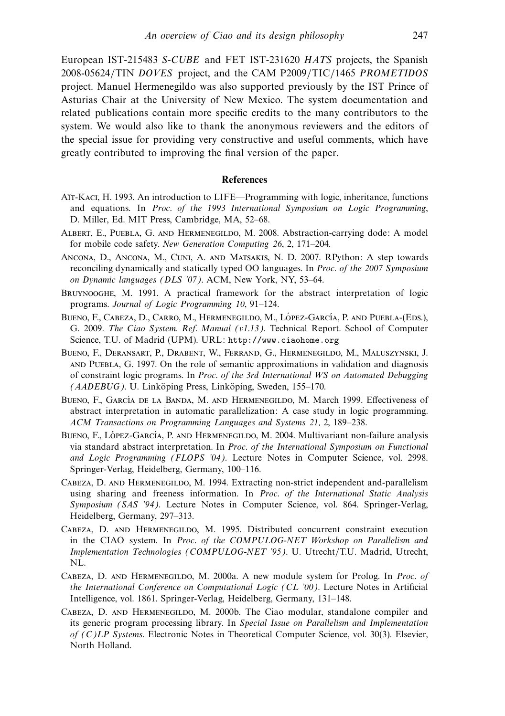European IST-215483 S-CUBE and FET IST-231620 HATS projects, the Spanish 2008-05624/TIN DOVES project, and the CAM P2009/TIC/1465 PROMETIDOS project. Manuel Hermenegildo was also supported previously by the IST Prince of Asturias Chair at the University of New Mexico. The system documentation and related publications contain more specific credits to the many contributors to the system. We would also like to thank the anonymous reviewers and the editors of the special issue for providing very constructive and useful comments, which have greatly contributed to improving the final version of the paper.

## **References**

- AïT-KACI, H. 1993. An introduction to LIFE—Programming with logic, inheritance, functions and equations. In Proc. of the 1993 International Symposium on Logic Programming, D. Miller, Ed. MIT Press, Cambridge, MA, 52–68.
- Albert, E., Puebla, G. and Hermenegildo, M. 2008. Abstraction-carrying dode: A model for mobile code safety. New Generation Computing 26, 2, 171–204.
- Ancona, D., Ancona, M., Cuni, A. and Matsakis, N. D. 2007. RPython: A step towards reconciling dynamically and statically typed OO languages. In Proc. of the 2007 Symposium on Dynamic languages (DLS '07). ACM, New York, NY, 53–64.
- Bruynooghe, M. 1991. A practical framework for the abstract interpretation of logic programs. Journal of Logic Programming 10, 91–124.
- BUENO, F., CABEZA, D., CARRO, M., HERMENEGILDO, M., LÓPEZ-GARCÍA, P. AND PUEBLA-(EDS.), G. 2009. The Ciao System. Ref. Manual (v1.13). Technical Report. School of Computer Science, T.U. of Madrid (UPM). URL: http://www.ciaohome.org
- Bueno, F., Deransart, P., Drabent, W., Ferrand, G., Hermenegildo, M., Maluszynski, J. and Puebla, G. 1997. On the role of semantic approximations in validation and diagnosis of constraint logic programs. In Proc. of the 3rd International WS on Automated Debugging  $(AADEBUG)$ . U. Linköping Press, Linköping, Sweden, 155–170.
- BUENO, F., GARCÍA DE LA BANDA, M. AND HERMENEGILDO, M. March 1999. Effectiveness of abstract interpretation in automatic parallelization: A case study in logic programming. ACM Transactions on Programming Languages and Systems 21, 2, 189–238.
- BUENO, F., LÓPEZ-GARCÍA, P. AND HERMENEGILDO, M. 2004. Multivariant non-failure analysis via standard abstract interpretation. In Proc. of the International Symposium on Functional and Logic Programming (FLOPS '04). Lecture Notes in Computer Science, vol. 2998. Springer-Verlag, Heidelberg, Germany, 100–116.
- Cabeza, D. and Hermenegildo, M. 1994. Extracting non-strict independent and-parallelism using sharing and freeness information. In Proc. of the International Static Analysis Symposium (SAS '94). Lecture Notes in Computer Science, vol. 864. Springer-Verlag, Heidelberg, Germany, 297–313.
- Cabeza, D. and Hermenegildo, M. 1995. Distributed concurrent constraint execution in the CIAO system. In Proc. of the COMPULOG-NET Workshop on Parallelism and Implementation Technologies (COMPULOG-NET '95). U. Utrecht/T.U. Madrid, Utrecht, NL.
- Cabeza, D. and Hermenegildo, M. 2000a. A new module system for Prolog. In Proc. of the International Conference on Computational Logic (CL '00). Lecture Notes in Artificial Intelligence, vol. 1861. Springer-Verlag, Heidelberg, Germany, 131–148.
- Cabeza, D. and Hermenegildo, M. 2000b. The Ciao modular, standalone compiler and its generic program processing library. In Special Issue on Parallelism and Implementation of  $(C)$ LP Systems. Electronic Notes in Theoretical Computer Science, vol. 30(3). Elsevier, North Holland.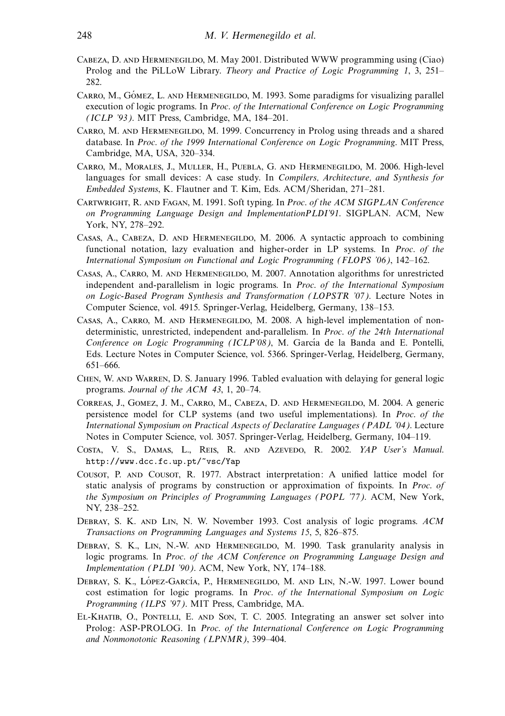- Cabeza, D. and Hermenegildo, M. May 2001. Distributed WWW programming using (Ciao) Prolog and the PiLLoW Library. Theory and Practice of Logic Programming 1, 3, 251– 282.
- CARRO, M., GÓMEZ, L. AND HERMENEGILDO, M. 1993. Some paradigms for visualizing parallel execution of logic programs. In Proc. of the International Conference on Logic Programming (ICLP '93). MIT Press, Cambridge, MA, 184–201.
- Carro, M. and Hermenegildo, M. 1999. Concurrency in Prolog using threads and a shared database. In Proc. of the 1999 International Conference on Logic Programming. MIT Press, Cambridge, MA, USA, 320–334.
- Carro, M., Morales, J., Muller, H., Puebla, G. and Hermenegildo, M. 2006. High-level languages for small devices: A case study. In Compilers, Architecture, and Synthesis for Embedded Systems, K. Flautner and T. Kim, Eds. ACM/Sheridan, 271–281.
- Cartwright, R. and Fagan, M. 1991. Soft typing. In Proc. of the ACM SIGPLAN Conference on Programming Language Design and ImplementationPLDI'91. SIGPLAN. ACM, New York, NY, 278–292.
- Casas, A., Cabeza, D. and Hermenegildo, M. 2006. A syntactic approach to combining functional notation, lazy evaluation and higher-order in LP systems. In Proc. of the International Symposium on Functional and Logic Programming (FLOPS '06), 142–162.
- Casas, A., Carro, M. and Hermenegildo, M. 2007. Annotation algorithms for unrestricted independent and-parallelism in logic programs. In Proc. of the International Symposium on Logic-Based Program Synthesis and Transformation (LOPSTR '07). Lecture Notes in Computer Science, vol. 4915. Springer-Verlag, Heidelberg, Germany, 138–153.
- Casas, A., Carro, M. and Hermenegildo, M. 2008. A high-level implementation of nondeterministic, unrestricted, independent and-parallelism. In *Proc. of the 24th International* Conference on Logic Programming (ICLP'08), M. García de la Banda and E. Pontelli, Eds. Lecture Notes in Computer Science, vol. 5366. Springer-Verlag, Heidelberg, Germany, 651–666.
- Chen, W. and Warren, D. S. January 1996. Tabled evaluation with delaying for general logic programs. Journal of the ACM 43, 1, 20–74.
- Correas, J., Gomez, J. M., Carro, M., Cabeza, D. and Hermenegildo, M. 2004. A generic persistence model for CLP systems (and two useful implementations). In Proc. of the International Symposium on Practical Aspects of Declarative Languages (PADL '04). Lecture Notes in Computer Science, vol. 3057. Springer-Verlag, Heidelberg, Germany, 104–119.
- Costa, V. S., Damas, L., Reis, R. and Azevedo, R. 2002. YAP User's Manual. http://www.dcc.fc.up.pt/~vsc/Yap
- Cousot, P. and Cousot, R. 1977. Abstract interpretation: A unified lattice model for static analysis of programs by construction or approximation of fixpoints. In Proc. of the Symposium on Principles of Programming Languages (POPL '77). ACM, New York, NY, 238–252.
- Debray, S. K. and Lin, N. W. November 1993. Cost analysis of logic programs. ACM Transactions on Programming Languages and Systems 15, 5, 826–875.
- Debray, S. K., Lin, N.-W. and Hermenegildo, M. 1990. Task granularity analysis in logic programs. In Proc. of the ACM Conference on Programming Language Design and Implementation (PLDI '90). ACM, New York, NY, 174–188.
- DEBRAY, S. K., LÓPEZ-GARCÍA, P., HERMENEGILDO, M. AND LIN, N.-W. 1997. Lower bound cost estimation for logic programs. In Proc. of the International Symposium on Logic Programming (ILPS '97). MIT Press, Cambridge, MA.
- El-Khatib, O., Pontelli, E. and Son, T. C. 2005. Integrating an answer set solver into Prolog: ASP-PROLOG. In Proc. of the International Conference on Logic Programming and Nonmonotonic Reasoning (LPNMR), 399–404.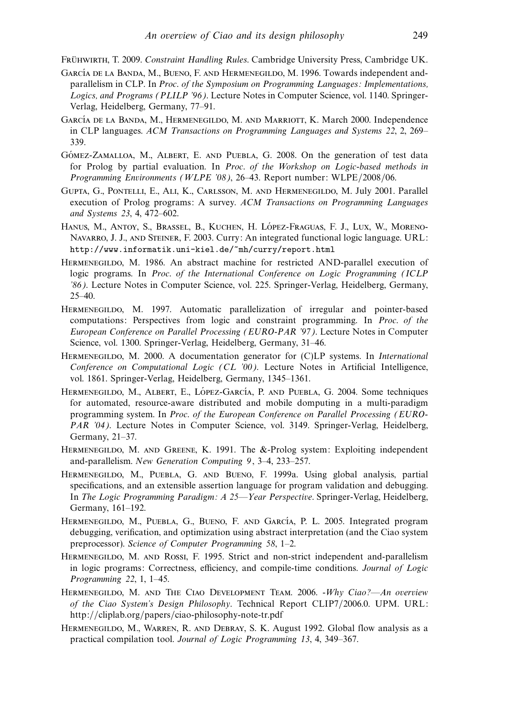FRÜHWIRTH, T. 2009. Constraint Handling Rules. Cambridge University Press, Cambridge UK.

- GARCÍA DE LA BANDA, M., BUENO, F. AND HERMENEGILDO, M. 1996. Towards independent andparallelism in CLP. In Proc. of the Symposium on Programming Languages: Implementations, Logics, and Programs (PLILP '96). Lecture Notes in Computer Science, vol. 1140. Springer-Verlag, Heidelberg, Germany, 77–91.
- GARCÍA DE LA BANDA, M., HERMENEGILDO, M. AND MARRIOTT, K. March 2000. Independence in CLP languages. ACM Transactions on Programming Languages and Systems 22, 2, 269– 339.
- GÓMEZ-ZAMALLOA, M., ALBERT, E. AND PUEBLA, G. 2008. On the generation of test data for Prolog by partial evaluation. In Proc. of the Workshop on Logic-based methods in Programming Environments (WLPE '08), 26–43. Report number: WLPE/2008/06.
- Gupta, G., Pontelli, E., Ali, K., Carlsson, M. and Hermenegildo, M. July 2001. Parallel execution of Prolog programs: A survey. ACM Transactions on Programming Languages and Systems 23, 4, 472–602.
- HANUS, M., ANTOY, S., BRASSEL, B., KUCHEN, H. LÓPEZ-FRAGUAS, F. J., LUX, W., MORENO-NAVARRO, J. J., AND STEINER, F. 2003. Curry: An integrated functional logic language. URL: http://www.informatik.uni-kiel.de/~mh/curry/report.html
- Hermenegildo, M. 1986. An abstract machine for restricted AND-parallel execution of logic programs. In Proc. of the International Conference on Logic Programming (ICLP '86). Lecture Notes in Computer Science, vol. 225. Springer-Verlag, Heidelberg, Germany,  $25 - 40.$
- Hermenegildo, M. 1997. Automatic parallelization of irregular and pointer-based computations: Perspectives from logic and constraint programming. In Proc. of the European Conference on Parallel Processing (EURO-PAR '97). Lecture Notes in Computer Science, vol. 1300. Springer-Verlag, Heidelberg, Germany, 31–46.
- Hermenegildo, M. 2000. A documentation generator for (C)LP systems. In International Conference on Computational Logic (CL '00). Lecture Notes in Artificial Intelligence, vol. 1861. Springer-Verlag, Heidelberg, Germany, 1345–1361.
- HERMENEGILDO, M., ALBERT, E., LÓPEZ-GARCÍA, P. AND PUEBLA, G. 2004. Some techniques for automated, resource-aware distributed and mobile domputing in a multi-paradigm programming system. In Proc. of the European Conference on Parallel Processing (EURO-PAR '04). Lecture Notes in Computer Science, vol. 3149. Springer-Verlag, Heidelberg, Germany, 21–37.
- HERMENEGILDO, M. AND GREENE, K. 1991. The &-Prolog system: Exploiting independent and-parallelism. New Generation Computing 9, 3-4, 233-257.
- Hermenegildo, M., Puebla, G. and Bueno, F. 1999a. Using global analysis, partial specifications, and an extensible assertion language for program validation and debugging. In The Logic Programming Paradigm: A 25—Year Perspective. Springer-Verlag, Heidelberg, Germany, 161–192.
- HERMENEGILDO, M., PUEBLA, G., BUENO, F. AND GARCÍA, P. L. 2005. Integrated program debugging, verification, and optimization using abstract interpretation (and the Ciao system preprocessor). Science of Computer Programming 58, 1-2.
- Hermenegildo, M. and Rossi, F. 1995. Strict and non-strict independent and-parallelism in logic programs: Correctness, efficiency, and compile-time conditions. Journal of Logic Programming 22, 1, 1–45.
- HERMENEGILDO, M. AND THE CIAO DEVELOPMENT TEAM. 2006. -Why Ciao?—An overview of the Ciao System's Design Philosophy. Technical Report CLIP7/2006.0. UPM. URL: http://cliplab.org/papers/ciao-philosophy-note-tr.pdf
- Hermenegildo, M., Warren, R. and Debray, S. K. August 1992. Global flow analysis as a practical compilation tool. Journal of Logic Programming 13, 4, 349–367.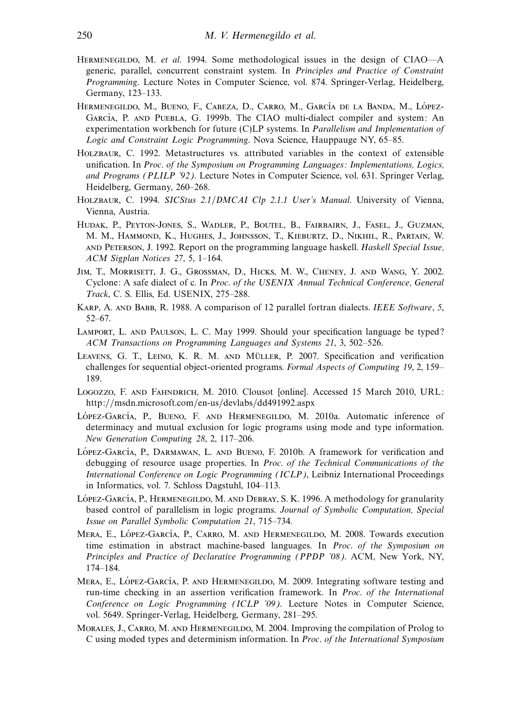- HERMENEGILDO, M. et al. 1994. Some methodological issues in the design of CIAO—A generic, parallel, concurrent constraint system. In Principles and Practice of Constraint Programming. Lecture Notes in Computer Science, vol. 874. Springer-Verlag, Heidelberg, Germany, 123–133.
- HERMENEGILDO, M., BUENO, F., CABEZA, D., CARRO, M., GARCÍA DE LA BANDA, M., LÓPEZ-GARCÍA, P. AND PUEBLA, G. 1999b. The CIAO multi-dialect compiler and system: An experimentation workbench for future  $(C)LP$  systems. In *Parallelism and Implementation of* Logic and Constraint Logic Programming. Nova Science, Hauppauge NY, 65–85.
- Holzbaur, C. 1992. Metastructures vs. attributed variables in the context of extensible unification. In Proc. of the Symposium on Programming Languages: Implementations, Logics, and Programs (PLILP '92). Lecture Notes in Computer Science, vol. 631. Springer Verlag, Heidelberg, Germany, 260–268.
- Holzbaur, C. 1994. SICStus 2.1/DMCAI Clp 2.1.1 User's Manual. University of Vienna, Vienna, Austria.
- Hudak, P., Peyton-Jones, S., Wadler, P., Boutel, B., Fairbairn, J., Fasel, J., Guzman, M. M., Hammond, K., Hughes, J., Johnsson, T., Kieburtz, D., Nikhil, R., Partain, W. and Peterson, J. 1992. Report on the programming language haskell. Haskell Special Issue, ACM Sigplan Notices 27, 5, 1–164.
- Jim, T., Morrisett, J. G., Grossman, D., Hicks, M. W., Cheney, J. and Wang, Y. 2002. Cyclone: A safe dialect of c. In Proc. of the USENIX Annual Technical Conference, General Track, C. S. Ellis, Ed. USENIX, 275–288.
- KARP, A. AND BABB, R. 1988. A comparison of 12 parallel fortran dialects. IEEE Software, 5, 52–67.
- Lamport, L. and Paulson, L. C. May 1999. Should your specification language be typed? ACM Transactions on Programming Languages and Systems 21, 3, 502–526.
- LEAVENS, G. T., LEINO, K. R. M. AND MÜLLER, P. 2007. Specification and verification challenges for sequential object-oriented programs. Formal Aspects of Computing 19, 2, 159– 189.
- Logozzo, F. and Fahndrich, M. 2010. Clousot [online]. Accessed 15 March 2010, URL: http://msdn.microsoft.com/en-us/devlabs/dd491992.aspx
- LÓPEZ-GARCÍA, P., BUENO, F. AND HERMENEGILDO, M. 2010a. Automatic inference of determinacy and mutual exclusion for logic programs using mode and type information. New Generation Computing 28, 2, 117–206.
- LÓPEZ-GARCÍA, P., DARMAWAN, L. AND BUENO, F. 2010b. A framework for verification and debugging of resource usage properties. In Proc. of the Technical Communications of the International Conference on Logic Programming (ICLP), Leibniz International Proceedings in Informatics, vol. 7. Schloss Dagstuhl, 104–113.
- LÓPEZ-GARCÍA, P., HERMENEGILDO, M. AND DEBRAY, S. K. 1996. A methodology for granularity based control of parallelism in logic programs. Journal of Symbolic Computation, Special Issue on Parallel Symbolic Computation 21, 715–734.
- MERA, E., LÓPEZ-GARCÍA, P., CARRO, M. AND HERMENEGILDO, M. 2008. Towards execution time estimation in abstract machine-based languages. In Proc. of the Symposium on Principles and Practice of Declarative Programming (PPDP '08). ACM, New York, NY, 174–184.
- MERA, E., LÓPEZ-GARCÍA, P. AND HERMENEGILDO, M. 2009. Integrating software testing and run-time checking in an assertion verification framework. In Proc. of the International Conference on Logic Programming (ICLP '09). Lecture Notes in Computer Science, vol. 5649. Springer-Verlag, Heidelberg, Germany, 281–295.
- Morales, J., Carro, M. and Hermenegildo, M. 2004. Improving the compilation of Prolog to C using moded types and determinism information. In Proc. of the International Symposium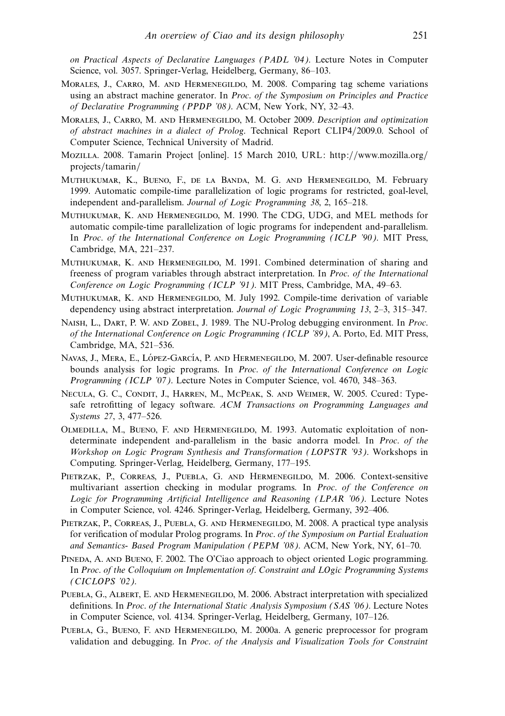on Practical Aspects of Declarative Languages (PADL '04). Lecture Notes in Computer Science, vol. 3057. Springer-Verlag, Heidelberg, Germany, 86–103.

- Morales, J., Carro, M. and Hermenegildo, M. 2008. Comparing tag scheme variations using an abstract machine generator. In *Proc. of the Symposium on Principles and Practice* of Declarative Programming (PPDP '08). ACM, New York, NY, 32–43.
- MORALES, J., CARRO, M. AND HERMENEGILDO, M. October 2009. Description and optimization of abstract machines in a dialect of Prolog. Technical Report CLIP4/2009.0. School of Computer Science, Technical University of Madrid.
- Mozilla. 2008. Tamarin Project [online]. 15 March 2010, URL: http://www.mozilla.org/ projects/tamarin/
- Muthukumar, K., Bueno, F., de la Banda, M. G. and Hermenegildo, M. February 1999. Automatic compile-time parallelization of logic programs for restricted, goal-level, independent and-parallelism. Journal of Logic Programming 38, 2, 165–218.
- Muthukumar, K. and Hermenegildo, M. 1990. The CDG, UDG, and MEL methods for automatic compile-time parallelization of logic programs for independent and-parallelism. In Proc. of the International Conference on Logic Programming (ICLP '90). MIT Press, Cambridge, MA, 221–237.
- Muthukumar, K. and Hermenegildo, M. 1991. Combined determination of sharing and freeness of program variables through abstract interpretation. In Proc. of the International Conference on Logic Programming (ICLP '91). MIT Press, Cambridge, MA, 49–63.
- Muthukumar, K. and Hermenegildo, M. July 1992. Compile-time derivation of variable dependency using abstract interpretation. Journal of Logic Programming 13, 2–3, 315–347.
- Naish, L., Dart, P. W. and Zobel, J. 1989. The NU-Prolog debugging environment. In Proc. of the International Conference on Logic Programming (ICLP '89), A. Porto, Ed. MIT Press, Cambridge, MA, 521–536.
- NAVAS, J., MERA, E., LÓPEZ-GARCÍA, P. AND HERMENEGILDO, M. 2007. User-definable resource bounds analysis for logic programs. In *Proc. of the International Conference on Logic* Programming (ICLP '07). Lecture Notes in Computer Science, vol. 4670, 348–363.
- Necula, G. C., Condit, J., Harren, M., McPeak, S. and Weimer, W. 2005. Ccured: Typesafe retrofitting of legacy software. ACM Transactions on Programming Languages and Systems 27, 3, 477–526.
- Olmedilla, M., Bueno, F. and Hermenegildo, M. 1993. Automatic exploitation of nondeterminate independent and-parallelism in the basic andorra model. In *Proc. of the* Workshop on Logic Program Synthesis and Transformation (LOPSTR '93). Workshops in Computing. Springer-Verlag, Heidelberg, Germany, 177–195.
- Pietrzak, P., Correas, J., Puebla, G. and Hermenegildo, M. 2006. Context-sensitive multivariant assertion checking in modular programs. In Proc. of the Conference on Logic for Programming Artificial Intelligence and Reasoning (LPAR '06). Lecture Notes in Computer Science, vol. 4246. Springer-Verlag, Heidelberg, Germany, 392–406.
- Pietrzak, P., Correas, J., Puebla, G. and Hermenegildo, M. 2008. A practical type analysis for verification of modular Prolog programs. In Proc. of the Symposium on Partial Evaluation and Semantics- Based Program Manipulation (PEPM '08). ACM, New York, NY, 61–70.
- PINEDA, A. AND BUENO, F. 2002. The O'Ciao approach to object oriented Logic programming. In Proc. of the Colloquium on Implementation of. Constraint and LOgic Programming Systems (CICLOPS '02).
- Puebla, G., Albert, E. and Hermenegildo, M. 2006. Abstract interpretation with specialized definitions. In Proc. of the International Static Analysis Symposium (SAS '06). Lecture Notes in Computer Science, vol. 4134. Springer-Verlag, Heidelberg, Germany, 107–126.
- Puebla, G., Bueno, F. and Hermenegildo, M. 2000a. A generic preprocessor for program validation and debugging. In Proc. of the Analysis and Visualization Tools for Constraint